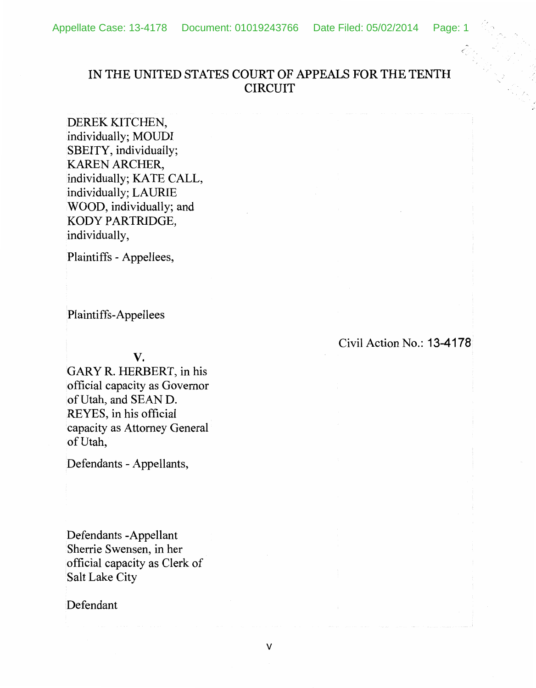## IN THE UNITED STATES COURT OF APPEALS FOR THE TENTH CIRCUIT

DEREK KITCHEN, individually; MOUDI SBEITY, individually; KAREN ARCHER, individually; KATE CALL, individually; LAURIE WOOD, individually; and KODY PARTRIDGE, individually,

Plaintiffs - Appellees,

Plaintiffs-Appellees

v.

GARYR. HERBERT, in his official capacity as Governor of Utah, and SEAN D. REYES, in his official capacity as Attorney General of Utah,

Defendants- Appellants,

Defendants -Appellant Sherrie Swensen, in her official capacity as Clerk of Salt Lake City

Defendant

Civil Action No.: 13-4178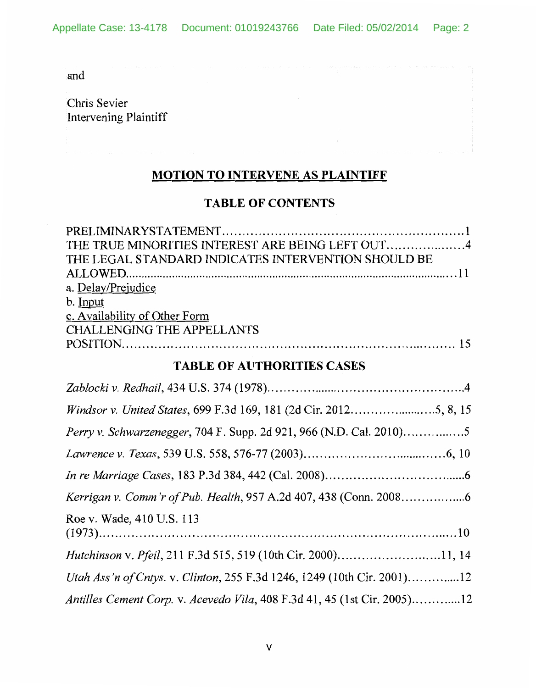and

Chris Sevier Intervening Plaintiff

# MOTION TO INTERVENE AS PLAINTIFF

## TABLE OF CONTENTS

| THE LEGAL STANDARD INDICATES INTERVENTION SHOULD BE |  |
|-----------------------------------------------------|--|
|                                                     |  |
| a. Delay/Prejudice                                  |  |
| b. Input                                            |  |
| c. Availability of Other Form                       |  |
| <b>CHALLENGING THE APPELLANTS</b>                   |  |
|                                                     |  |

## TABLE OF AUTHORITIES CASES

| Perry v. Schwarzenegger, 704 F. Supp. 2d 921, 966 (N.D. Cal. 2010)5      |
|--------------------------------------------------------------------------|
|                                                                          |
|                                                                          |
|                                                                          |
| Roe v. Wade, 410 U.S. 113                                                |
| <i>Hutchinson v. Pfeil</i> , 211 F.3d 515, 519 (10th Cir. 2000)11, 14    |
| Utah Ass'n of Cntys. v. Clinton, 255 F.3d 1246, 1249 (10th Cir. 2001)12  |
| Antilles Cement Corp. v. Acevedo Vila, 408 F.3d 41, 45 (1st Cir. 2005)12 |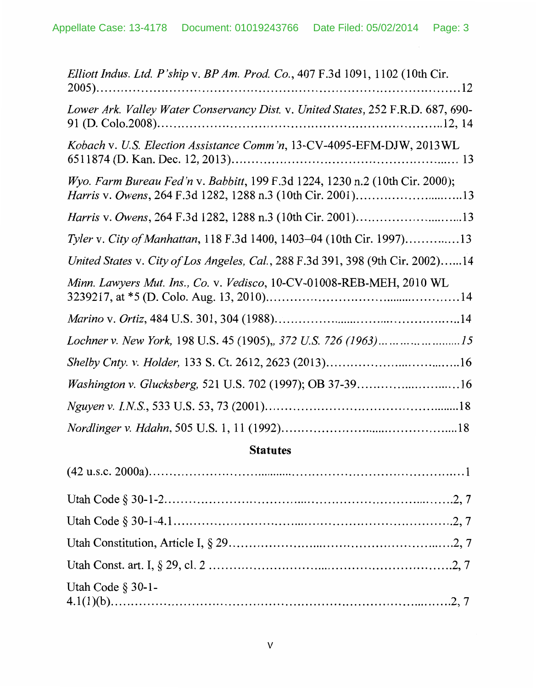| Elliott Indus. Ltd. P'ship v. BP Am. Prod. Co., 407 F.3d 1091, 1102 (10th Cir.                                                              |
|---------------------------------------------------------------------------------------------------------------------------------------------|
| Lower Ark. Valley Water Conservancy Dist. v. United States, 252 F.R.D. 687, 690-                                                            |
| Kobach v. U.S. Election Assistance Comm'n, 13-CV-4095-EFM-DJW, 2013WL                                                                       |
| Wyo. Farm Bureau Fed'n v. Babbitt, 199 F.3d 1224, 1230 n.2 (10th Cir. 2000);<br>Harris v. Owens, 264 F.3d 1282, 1288 n.3 (10th Cir. 2001)13 |
| Harris v. Owens, 264 F.3d 1282, 1288 n.3 (10th Cir. 2001)13                                                                                 |
| Tyler v. City of Manhattan, 118 F.3d 1400, 1403-04 (10th Cir. 1997)13                                                                       |
| United States v. City of Los Angeles, Cal., 288 F.3d 391, 398 (9th Cir. 2002)14                                                             |
| Minn. Lawyers Mut. Ins., Co. v. Vedisco, 10-CV-01008-REB-MEH, 2010 WL                                                                       |
|                                                                                                                                             |
| Lochner v. New York, 198 U.S. 45 (1905),, 372 U.S. 726 (1963)15                                                                             |
|                                                                                                                                             |
| Washington v. Glucksberg, 521 U.S. 702 (1997); OB 37-3916                                                                                   |
|                                                                                                                                             |
|                                                                                                                                             |

## **Statutes**

| Utah Code $\S 30-1$ - |  |
|-----------------------|--|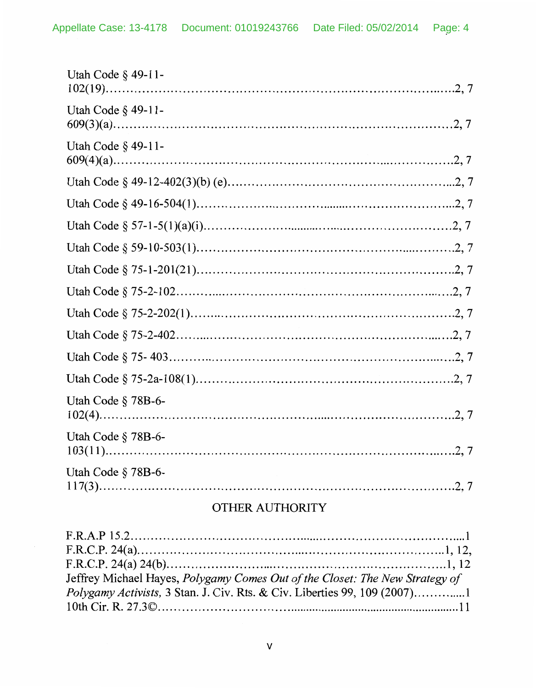| Utah Code § 49-11- |
|--------------------|
| Utah Code § 49-11- |
| Utah Code § 49-11- |
|                    |
|                    |
|                    |
|                    |
|                    |
|                    |
|                    |
|                    |
|                    |
|                    |
| Utah Code § 78B-6- |
| Utah Code § 78B-6- |
| Utah Code § 78B-6- |

# OTHER AUTHORITY

| Jeffrey Michael Hayes, Polygamy Comes Out of the Closet: The New Strategy of |  |
|------------------------------------------------------------------------------|--|
|                                                                              |  |
|                                                                              |  |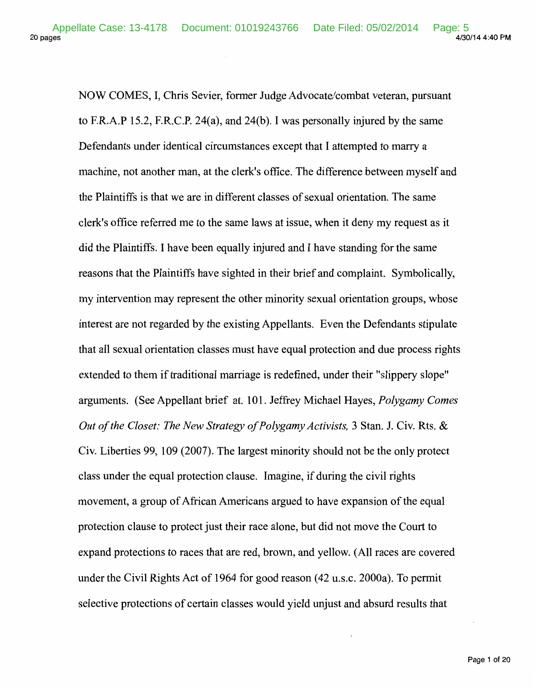20 pages 4/30/14 4:40 PM Appellate Case: 13-4178 Document: 01019243766 Date Filed: 05/02/2014 Page: 5<br>4/30/14 4:40 PM

NOW COMES, I, Chris Sevier, former Judge Advocate/combat veteran, pursuant to F.R.A.P 15.2, F.R.C.P. 24(a), and 24(b). I was personally injured by the same Defendants under identical circumstances except that I attempted to marry a machine, not another man, at the clerk's office. The difference between myself and the Plaintiffs is that we are in different classes of sexual orientation. The same clerk's office referred me to the same laws at issue, when it deny my request as it did the Plaintiffs. I have been equally injured and I have standing for the same reasons that the Plaintiffs have sighted in their brief and complaint. Symbolically, my intervention may represent the other minority sexual orientation groups, whose interest are not regarded by the existing Appellants. Even the Defendants stipulate that all sexual orientation classes must have equal protection and due process rights extended to them if traditional marriage is redefined, under their "slippery slope" arguments. (See Appellant brief at. 101. Jeffrey Michael Hayes, *Polygamy Comes Out of the Closet: The New Strategy of Polygamy Activists,* 3 Stan. J. Civ. Rts. & Civ. Liberties 99, 109 (2007). The largest minority should not be the only protect class under the equal protection clause. Imagine, if during the civil rights movement, a group of African Americans argued to have expansion of the equal protection clause to protect just their race alone, but did not move the Court to expand protections to races that are red, brown, and yellow. (All races are covered under the Civil Rights Act of 1964 for good reason (42 u.s.c. 2000a). To permit selective protections of certain classes would yield unjust and absurd results that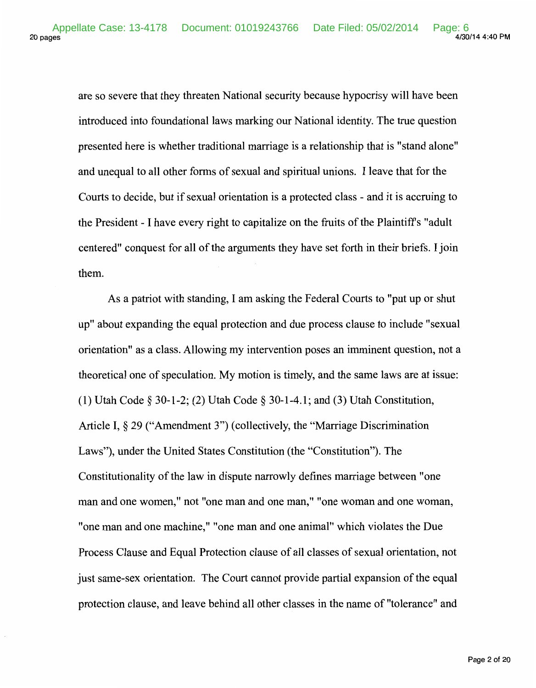are so severe that they threaten National security because hypocrisy will have been introduced into foundational laws marking our National identity. The true question presented here is whether traditional marriage is a relationship that is "stand alone" and unequal to all other forms of sexual and spiritual unions. I leave that for the Courts to decide, but if sexual orientation is a protected class - and it is accruing to the President- I have every right to capitalize on the fruits of the Plaintiffs "adult centered" conquest for all of the arguments they have set forth in their briefs. I join them.

As a patriot with standing, I am asking the Federal Courts to "put up or shut up" about expanding the equal protection and due process clause to include "sexual orientation" as a class. Allowing my intervention poses an imminent question, not a theoretical one of speculation. My motion is timely, and the same laws are at issue: (1) Utah Code § 30-1-2; (2) Utah Code § 30-1-4.1; and (3) Utah Constitution, Article I, § 29 ("Amendment 3") (collectively, the "Marriage Discrimination Laws"), under the United States Constitution (the "Constitution"). The Constitutionality of the law in dispute narrowly defines marriage between "one man and one women," not "one man and one man," "one woman and one woman, "one man and one machine," "one man and one animal" which violates the Due Process Clause and Equal Protection clause of all classes of sexual orientation, not just same-sex orientation. The Court cannot provide partial expansion of the equal protection clause, and leave behind all other classes in the name of "tolerance" and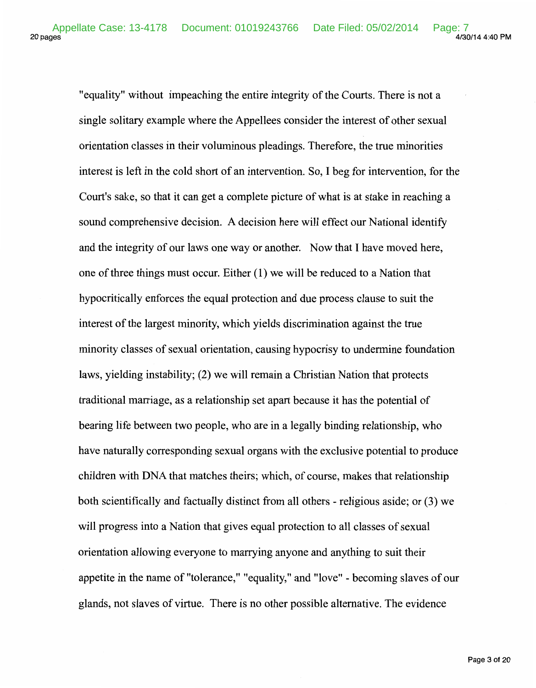"equality" without impeaching the entire integrity of the Courts. There is not a single solitary example where the Appellees consider the interest of other sexual orientation classes in their voluminous pleadings. Therefore, the true minorities interest is left in the cold short of an intervention. So, I beg for intervention, for the Court's sake, so that it can get a complete picture of what is at stake in reaching a sound comprehensive decision. A decision here will effect our National identify and the integrity of our laws one way or another. Now that I have moved here, one of three things must occur. Either (1) we will be reduced to a Nation that hypocritically enforces the equal protection and due process clause to suit the interest of the largest minority, which yields discrimination against the true minority classes of sexual orientation, causing hypocrisy to undermine foundation laws, yielding instability; (2) we will remain a Christian Nation that protects traditional marriage, as a relationship set apart because it has the potential of bearing life between two people, who are in a legally binding relationship, who have naturally corresponding sexual organs with the exclusive potential to produce children with DNA that matches theirs; which, of course, makes that relationship both scientifically and factually distinct from all others- religious aside; or (3) we will progress into a Nation that gives equal protection to all classes of sexual orientation allowing everyone to marrying anyone and anything to suit their appetite in the name of "tolerance," "equality," and "love"- becoming slaves of our glands, not slaves of virtue. There is no other possible alternative. The evidence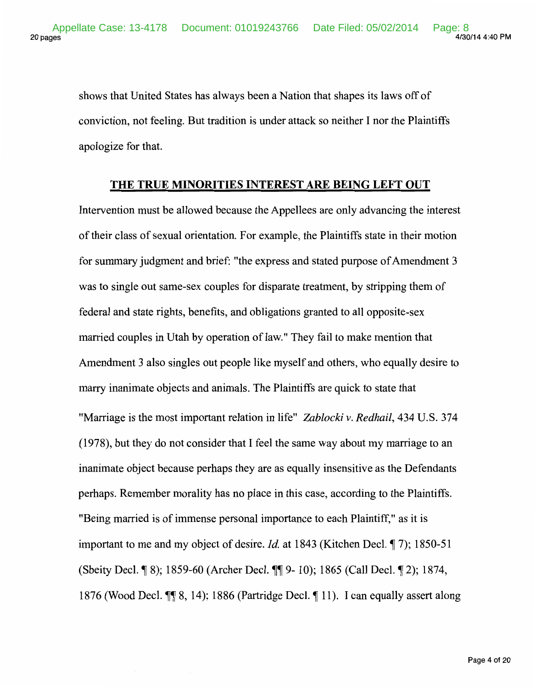shows that United States has always been a Nation that shapes its laws off of conviction, not feeling. But tradition is under attack so neither I nor the Plaintiffs apologize for that.

#### **THE TRUE MINORITIES INTEREST ARE BEING LEFT OUT**

Intervention must be allowed because the Appellees are only advancing the interest of their class of sexual orientation. For example, the Plaintiffs state in their motion for summary judgment and brief: "the express and stated purpose of Amendment 3 was to single out same-sex couples for disparate treatment, by stripping them of federal and state rights, benefits, and obligations granted to all opposite-sex married couples in Utah by operation of law." They fail to make mention that Amendment 3 also singles out people like myself and others, who equally desire to marry inanimate objects and animals. The Plaintiffs are quick to state that "Marriage is the most important relation in life" *Zablocki v. Redhail,* 434 U.S. 374 ( 1978), but they do not consider that I feel the same way about my marriage to an inanimate object because perhaps they are as equally insensitive as the Defendants perhaps. Remember morality has no place in this case, according to the Plaintiffs. "Being married is of immense personal importance to each Plaintiff," as it is important to me and my object of desire. *Id.* at 1843 (Kitchen Decl. ¶ 7); 1850-51 (Sbeity Decl. ¶ 8); 1859-60 (Archer Decl. ¶ 9- 10); 1865 (Call Decl. ¶ 2); 1874, 1876 (Wood Decl.  $\P$  8, 14); 1886 (Partridge Decl.  $\P$  11). I can equally assert along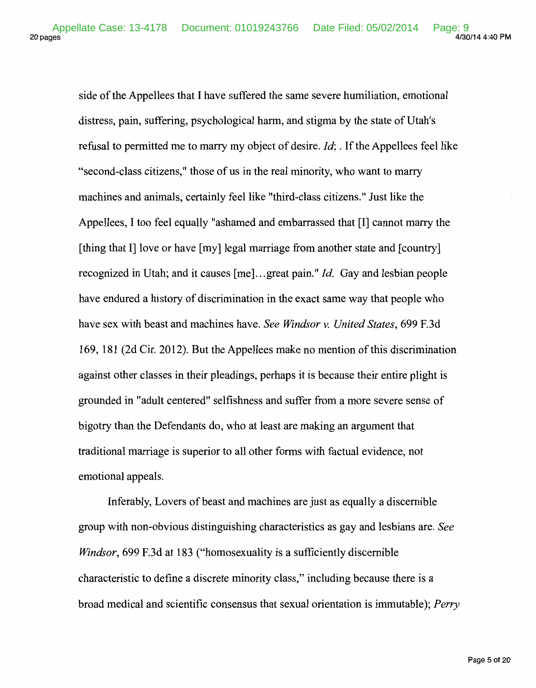side of the Appellees that I have suffered the same severe humiliation, emotional distress, pain, suffering, psychological harm, and stigma by the state of Utah's refusal to permitted me to marry my object of desire. *Id;.* If the Appellees feel like "second-class citizens," those of us in the real minority, who want to marry machines and animals, certainly feel like "third-class citizens." Just like the Appellees, I too feel equally "ashamed and embarrassed that [I] cannot marry the [thing that I] love or have [my] legal marriage from another state and [country] recognized in Utah; and it causes [me] ... great pain." *!d.* Gay and lesbian people have endured a history of discrimination in the exact same way that people who have sex with beast and machines have. *See Windsor v. United States,* 699 F.3d 169, 181 (2d Cir. 2012). But the Appellees make no mention of this discrimination against other classes in their pleadings, perhaps it is because their entire plight is grounded in "adult centered" selfishness and suffer from a more severe sense of bigotry than the Defendants do, who at least are making an argument that traditional marriage is superior to all other forms with factual evidence, not emotional appeals.

Inferably, Lovers of beast and machines are just as equally a discernible group with non-obvious distinguishing characteristics as gay and lesbians are. *See Windsor,* 699 F.3d at 183 ("homosexuality is a sufficiently discernible characteristic to define a discrete minority class," including because there is a broad medical and scientific consensus that sexual orientation is immutable); *Perry*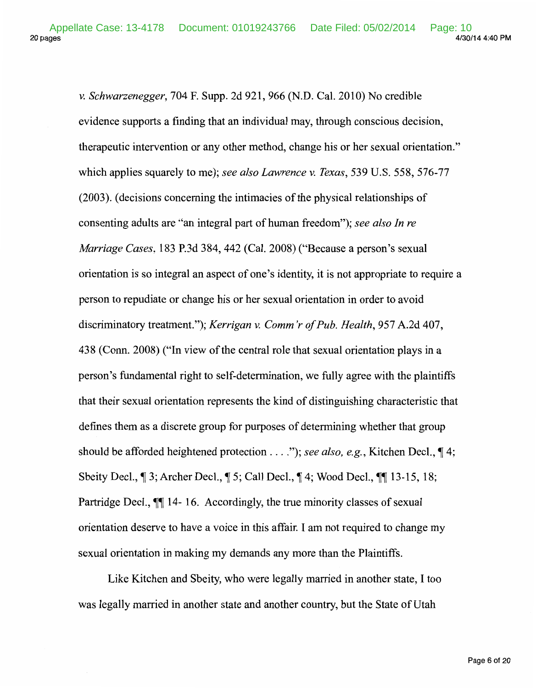20 pages 4/30/14 4:40 PM Appellate Case: 13-4178 Document: 01019243766 Date Filed: 05/02/2014 Page: 10

> *v. Schwarzenegger,* 704 F. Supp. 2d 921, 966 (N.D. Cal. 2010) No credible evidence supports a finding that an individual may, through conscious decision, therapeutic intervention or any other method, change his or her sexual orientation." which applies squarely to me); *see also Lawrence v. Texas,* 539 U.S. 558, 576-77 (2003). (decisions concerning the intimacies of the physical relationships of consenting adults are "an integral part of human freedom"); *see also In re Marriage Cases,* 183 P.3d 384, 442 (Cal. 2008) ("Because a person's sexual orientation is so integral an aspect of one's identity, it is not appropriate to require a person to repudiate or change his or her sexual orientation in order to avoid discriminatory treatment."); *Kerrigan v. Comm 'r of Pub. Health,* 957 A.2d 407, 43 8 (Conn. 2008) ("In view of the central role that sexual orientation plays in a person's fundamental right to self-determination, we fully agree with the plaintiffs that their sexual orientation represents the kind of distinguishing characteristic that defines them as a discrete group for purposes of determining whether that group should be afforded heightened protection . . . *.*"); see also, e.g., Kitchen Decl.,  $\P$ 4; Sbeity Decl.,  $\parallel$  3; Archer Decl.,  $\parallel$  5; Call Decl.,  $\parallel$  4; Wood Decl.,  $\parallel$  13-15, 18; Partridge Decl.,  $\mathbb{M}$  14-16. Accordingly, the true minority classes of sexual orientation deserve to have a voice in this affair. I am not required to change my sexual orientation in making my demands any more than the Plaintiffs.

Like Kitchen and Sbeity, who were legally married in another state, I too was legally married in another state and another country, but the State of Utah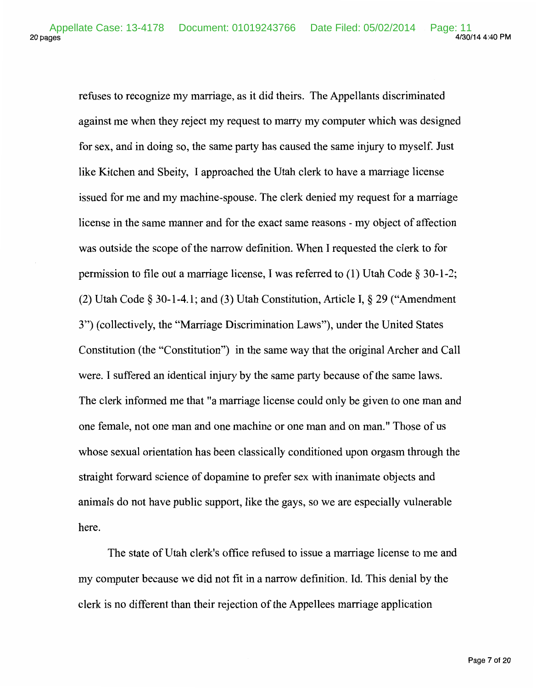refuses to recognize my marriage, as it did theirs. The Appellants discriminated against me when they reject my request to marry my computer which was designed for sex, and in doing so, the same party has caused the same injury to myself. Just like Kitchen and Sbeity, I approached the Utah clerk to have a marriage license issued for me and my machine-spouse. The clerk denied my request for a marriage license in the same manner and for the exact same reasons- my object of affection was outside the scope of the narrow definition. When I requested the clerk to for permission to file out a marriage license, I was referred to (1) Utah Code§ 30-1-2; (2) Utah Code § 30-1-4.1; and (3) Utah Constitution, Article I, § 29 ("Amendment 3") (collectively, the "Marriage Discrimination Laws"), under the United States Constitution (the "Constitution") in the same way that the original Archer and Call were. I suffered an identical injury by the same party because of the same laws. The clerk informed me that "a marriage license could only be given to one man and one female, not one man and one machine or one man and on man." Those of us whose sexual orientation has been classically conditioned upon orgasm through the straight forward science of dopamine to prefer sex with inanimate objects and animals do not have public support, like the gays, so we are especially vulnerable here.

The state of Utah clerk's office refused to issue a marriage license to me and my computer because we did not fit in a narrow definition. Id. This denial by the clerk is no different than their rejection of the Appellees marriage application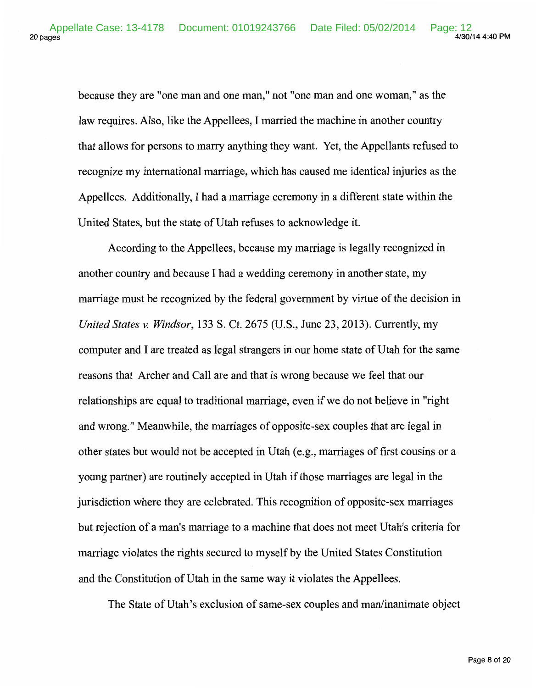because they are "one man and one man," not "one man and one woman," as the law requires. Also, like the Appellees, I married the machine in another country that allows for persons to marry anything they want. Yet, the Appellants refused to recognize my international marriage, which has caused me identical injuries as the Appellees. Additionally, I had a marriage ceremony in a different state within the United States, but the state of Utah refuses to acknowledge it.

According to the Appellees, because my marriage is legally recognized in another country and because I had a wedding ceremony in another state, my marriage must be recognized by the federal government by virtue of the decision in *United States v. Windsor,* 133 S. Ct. 2675 (U.S., June 23, 2013). Currently, my computer and I are treated as legal strangers in our home state of Utah for the same reasons that Archer and Call are and that is wrong because we feel that our relationships are equal to traditional marriage, even if we do not believe in "right and wrong." Meanwhile, the marriages of opposite-sex couples that are legal in other states but would not be accepted in Utah (e.g., marriages of first cousins or a young partner) are routinely accepted in Utah if those marriages are legal in the jurisdiction where they are celebrated. This recognition of opposite-sex marriages but rejection of a man's marriage to a machine that does not meet Utah's criteria for marriage violates the rights secured to myself by the United States Constitution and the Constitution of Utah in the same way it violates the Appellees.

The State of Utah's exclusion of same-sex couples and man/inanimate object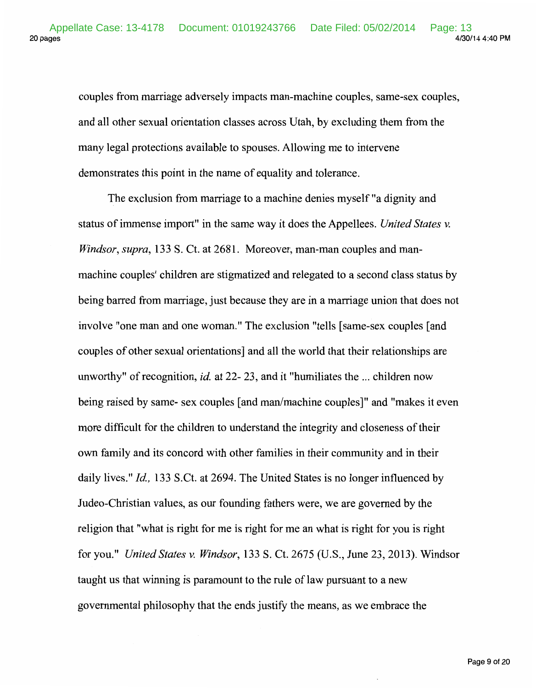couples from marriage adversely impacts man-machine couples, same-sex couples, and all other sexual orientation classes across Utah, by excluding them from the many legal protections available to spouses. Allowing me to intervene demonstrates this point in the name of equality and tolerance.

The exclusion from marriage to a machine denies myself "a dignity and status of immense import" in the same way it does the Appellees. *United States v. Windsor, supra,* 133 S. Ct. at 2681. Moreover, man-man couples and manmachine couples' children are stigmatized and relegated to a second class status by being barred from marriage, just because they are in a marriage union that does not involve "one man and one woman." The exclusion "tells [same-sex couples [and couples of other sexual orientations] and all the world that their relationships are unworthy" of recognition, *id.* at 22- 23, and it "humiliates the ... children now being raised by same- sex couples [and man/machine couples]" and "makes it even more difficult for the children to understand the integrity and closeness of their own family and its concord with other families in their community and in their daily lives." *Id.*, 133 S.Ct. at 2694. The United States is no longer influenced by Judea-Christian values, as our founding fathers were, we are governed by the religion that "what is right for me is right for me an what is right for you is right for you." *United States v. Windsor,* 133 S. Ct. 2675 (U.S., June 23, 2013). Windsor taught us that winning is paramount to the rule of law pursuant to a new governmental philosophy that the ends justify the means, as we embrace the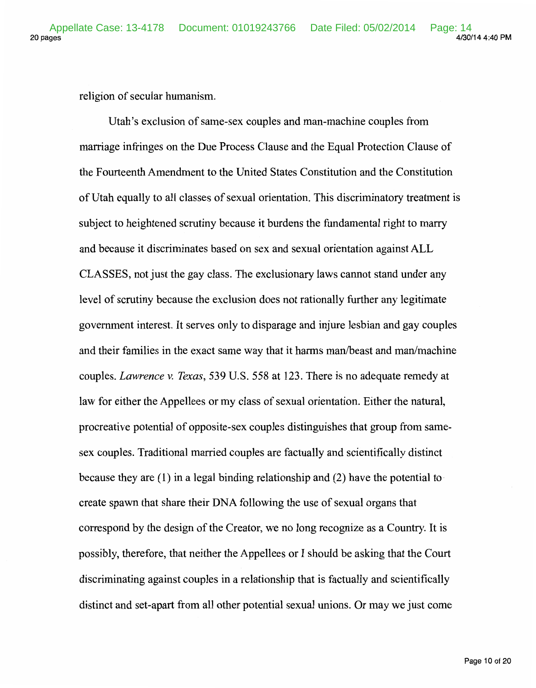religion of secular humanism.

Utah's exclusion of same-sex couples and man-machine couples from marriage infringes on the Due Process Clause and the Equal Protection Clause of the Fourteenth Amendment to the United States Constitution and the Constitution of Utah equally to all classes of sexual orientation. This discriminatory treatment is subject to heightened scrutiny because it burdens the fundamental right to marry and because it discriminates based on sex and sexual orientation against ALL CLASSES, not just the gay class. The exclusionary laws cannot stand under any level of scrutiny because the exclusion does not rationally further any legitimate government interest. It serves only to disparage and injure lesbian and gay couples and their families in the exact same way that it harms man/beast and man/machine couples. *Lawrence v. Texas,* 539 U.S. 558 at 123. There is no adequate remedy at law for either the Appellees or my class of sexual orientation. Either the natural, procreative potential of opposite-sex couples distinguishes that group from samesex couples. Traditional married couples are factually and scientifically distinct because they are  $(1)$  in a legal binding relationship and  $(2)$  have the potential to create spawn that share their DNA following the use of sexual organs that correspond by the design of the Creator, we no long recognize as a Country. It is possibly, therefore, that neither the Appellees or I should be asking that the Court discriminating against couples in a relationship that is factually and scientifically distinct and set-apart from all other potential sexual unions. Or may we just come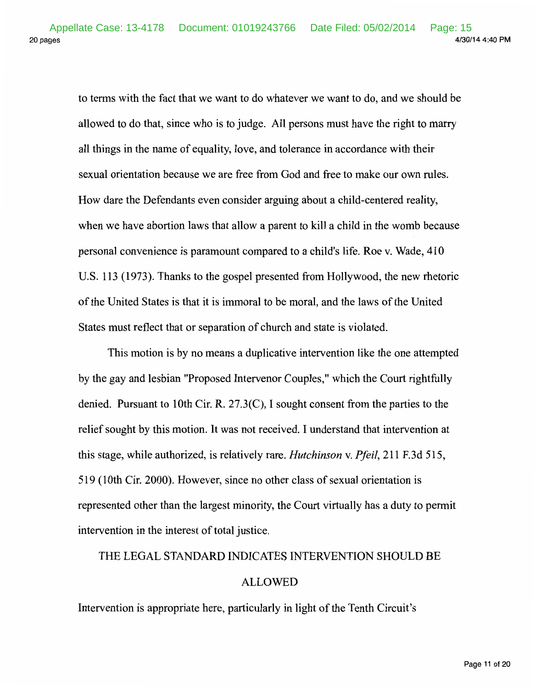to terms with the fact that we want to do whatever we want to do, and we should be allowed to do that, since who is to judge. All persons must have the right to marry all things in the name of equality, love, and tolerance in accordance with their sexual orientation because we are free from God and free to make our own rules. How dare the Defendants even consider arguing about a child-centered reality, when we have abortion laws that allow a parent to kill a child in the womb because personal convenience is paramount compared to a child's life. Roe v. Wade, 410 U.S. 113 (1973). Thanks to the gospel presented from Hollywood, the new rhetoric of the United States is that it is immoral to be moral, and the laws of the United States must reflect that or separation of church and state is violated.

This motion is by no means a duplicative intervention like the one attempted by the gay and lesbian "Proposed Intervenor Couples," which the Court rightfully denied. Pursuant to lOth Cir. R. 27.3(C), I sought consent from the parties to the relief sought by this motion. It was not received. I understand that intervention at this stage, while authorized, is relatively rare. *Hutchinson* v. *Pfeil,* 211 F.3d 515, 519 (1Oth Cir. 2000). However, since no other class of sexual orientation is represented other than the largest minority, the Court virtually has a duty to permit intervention in the interest of total justice.

# THE LEGAL STANDARD INDICATES INTERVENTION SHOULD BE

## ALLOWED

Intervention is appropriate here, particularly in light of the Tenth Circuit's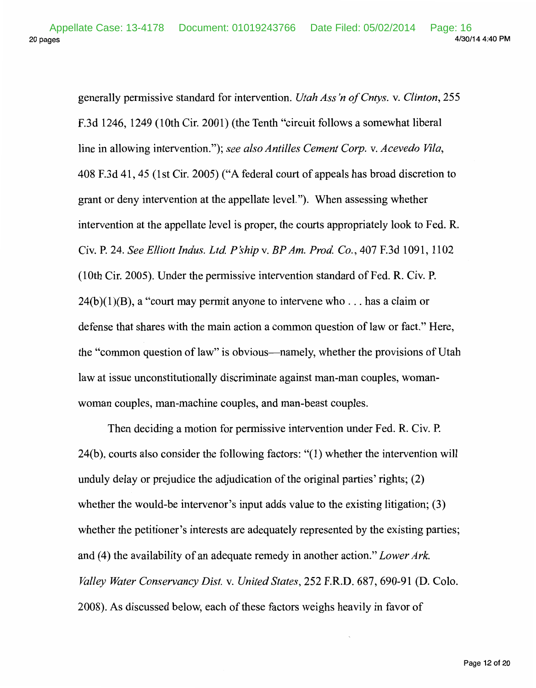20 pages 4/30/14 4:40 PM Appellate Case: 13-4178 Document: 01019243766 Date Filed: 05/02/2014 Page: 16

> generally permissive standard for intervention. *Utah Ass 'n of Cntys.* v. *Clinton,* 255 F.3d 1246, 1249 (lOth Cir. 2001) (the Tenth "circuit follows a somewhat liberal line in allowing intervention."); *see also Antilles Cement Corp.* v. *Acevedo Vila,*  408 F.3d 41,45 (1st Cir. 2005) ("A federal court of appeals has broad discretion to grant or deny intervention at the appellate level."). When assessing whether intervention at the appellate level is proper, the courts appropriately look to Fed. R. Civ. P. 24. *See Elliott Indus. Ltd. P'ship* v. *BP Am. Prod. Co.,* 407 F.3d 1091, 1102 (lOth Cir. 2005). Under the permissive intervention standard of Fed. R. Civ. P.  $24(b)(1)(B)$ , a "court may permit anyone to intervene who ... has a claim or defense that shares with the main action a common question of law or fact." Here, the "common question of law" is obvious-namely, whether the provisions of Utah law at issue unconstitutionally discriminate against man-man couples, womanwoman couples, man-machine couples, and man-beast couples.

> Then deciding a motion for permissive intervention under Fed. R. Civ. P.  $24(b)$ , courts also consider the following factors: " $(1)$  whether the intervention will unduly delay or prejudice the adjudication of the original parties' rights; (2) whether the would-be intervenor's input adds value to the existing litigation; (3) whether the petitioner's interests are adequately represented by the existing parties; and (4) the availability of an adequate remedy in another action." *Lower Ark. Valley Water Conservancy Dist.* v. *United States,* 252 F.R.D. 687, 690-91 (D. Colo. 2008). As discussed below, each of these factors weighs heavily in favor of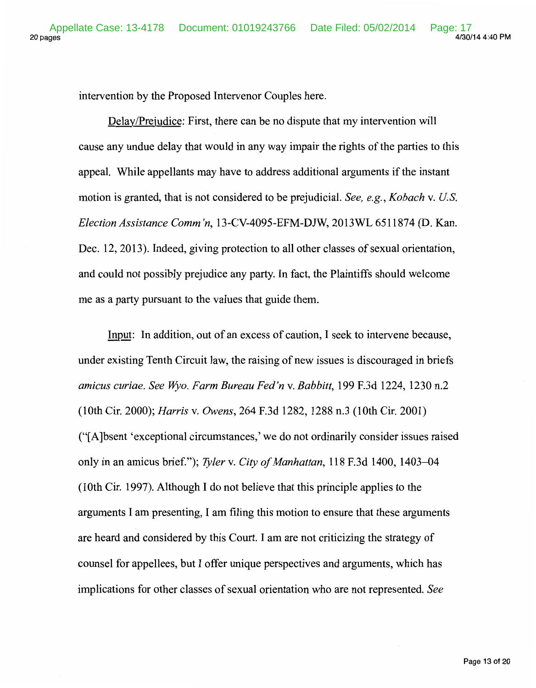intervention by the Proposed Intervenor Couples here.

Delay/Prejudice: First, there can be no dispute that my intervention will cause any undue delay that would in any way impair the rights of the parties to this appeal. While appellants may have to address additional arguments if the instant motion is granted, that is not considered to be prejudicial. *See, e.g., Kobach* v. *U.S. Election Assistance Comm 'n,* 13-CV-4095-EFM-DJW, 2013WL 6511874 (D. Kan. Dec. 12, 2013). Indeed, giving protection to all other classes of sexual orientation, and could not possibly prejudice any party. In fact, the Plaintiffs should welcome me as a party pursuant to the values that guide them.

Input: In addition, out of an excess of caution, I seek to intervene because, under existing Tenth Circuit law, the raising of new issues is discouraged in briefs *amicus curiae. See Wyo. Farm Bureau Fed'n v. Babbitt,* 199 F.3d 1224, 1230 n.2 (lOth Cir. 2000); *Harris* v. *Owens,* 264 F.3d 1282, 1288 n.3 (lOth Cir. 2001) ("[A ]bsent 'exceptional circumstances,' we do not ordinarily consider issues raised only in an amicus brief."); *Tyler* v. *City of Manhattan,* 118 F.3d 1400, 1403-04 (1Oth Cir. 1997). Although I do not believe that this principle applies to the arguments I am presenting, I am filing this motion to ensure that these arguments are heard and considered by this Court. I am are not criticizing the strategy of counsel for appellees, but I offer unique perspectives and arguments, which has implications for other classes of sexual orientation who are not represented. *See*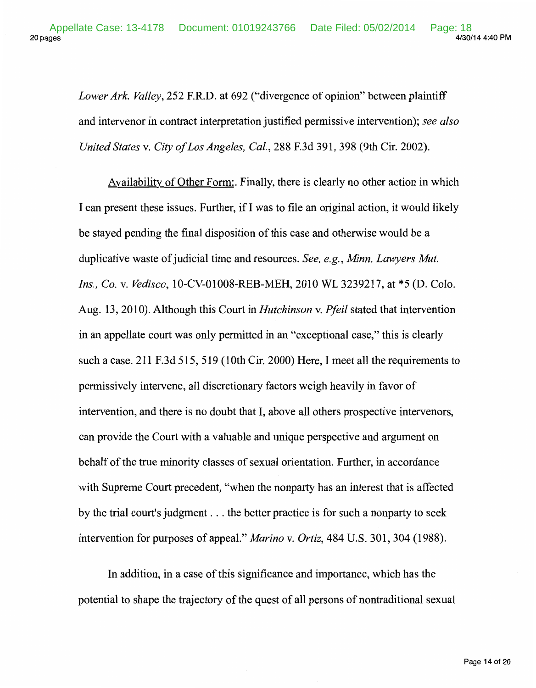*Lower Ark. Valley,* 252 F.R.D. at 692 ("divergence of opinion" between plaintiff and intervenor in contract interpretation justified permissive intervention); *see also United States* v. *City of Los Angeles, Cal.,* 288 F.3d 391, 398 (9th Cir. 2002).

Availability of Other Form:. Finally, there is clearly no other action in which I can present these issues. Further, if I was to file an original action, it would likely be stayed pending the final disposition of this case and otherwise would be a duplicative waste of judicial time and resources. *See, e.g., Minn. Lawyers Mut. Ins., Co.* v. *Vedisco,* 10-CV-01008-REB-MEH, 2010 WL 3239217, at \*5 (D. Colo. Aug. 13, 2010). Although this Court in *Hutchinson* v. *Pfeil* stated that intervention in an appellate court was only permitted in an "exceptional case," this is clearly such a case. 211 F.3d 515, 519 (lOth Cir. 2000) Here, I meet all the requirements to permissively intervene, all discretionary factors weigh heavily in favor of intervention, and there is no doubt that I, above all others prospective intervenors, can provide the Court with a valuable and unique perspective and argument on behalf of the true minority classes of sexual orientation. Further, in accordance with Supreme Court precedent, "when the nonparty has an interest that is affected by the trial court's judgment ... the better practice is for such a nonparty to seek intervention for purposes of appeal." *Marino* v. *Ortiz,* 484 U.S. 301, 304 (1988).

In addition, in a case of this significance and importance, which has the potential to shape the trajectory of the quest of all persons of nontraditional sexual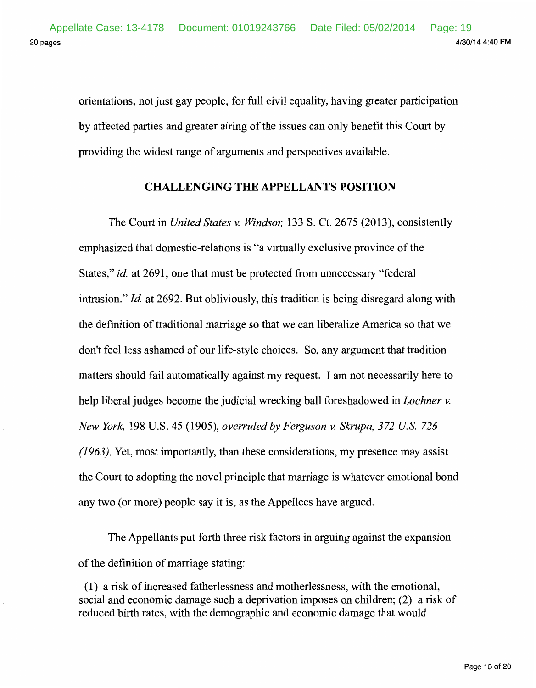orientations, not just gay people, for full civil equality, having greater participation by affected parties and greater airing of the issues can only benefit this Court by providing the widest range of arguments and perspectives available.

## **CHALLENGING THE APPELLANTS POSITION**

The Court in *United States v. Windsor,* 133 S. Ct. 2675 (2013), consistently emphasized that domestic-relations is "a virtually exclusive province of the States," *id.* at 2691, one that must be protected from unnecessary "federal intrusion." *!d.* at 2692. But obliviously, this tradition is being disregard along with the definition of traditional marriage so that we can liberalize America so that we don't feel less ashamed of our life-style choices. So, any argument that tradition matters should fail automatically against my request. I am not necessarily here to help liberal judges become the judicial wrecking ball foreshadowed in *Lochner v. New York,* 198 U.S. 45 (1905), *overruled by Ferguson v. Skrupa, 372 U.S. 726 (1963).* Yet, most importantly, than these considerations, my presence may assist the Court to adopting the novel principle that marriage is whatever emotional bond any two (or more) people say it is, as the Appellees have argued.

The Appellants put forth three risk factors in arguing against the expansion of the definition of marriage stating:

( 1) a risk of increased fatherlessness and motherlessness, with the emotional, social and economic damage such a deprivation imposes on children; (2) a risk of reduced birth rates, with the demographic and economic damage that would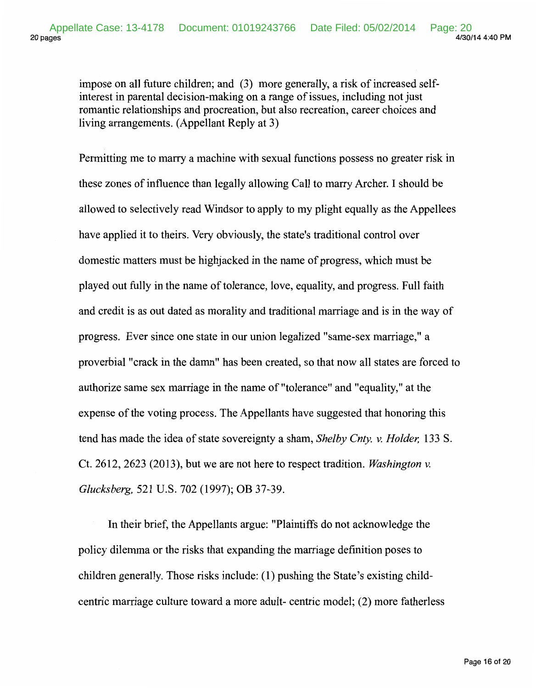impose on all future children; and (3) more generally, a risk of increased selfinterest in parental decision-making on a range of issues, including not just romantic relationships and procreation, but also recreation, career choices and living arrangements. (Appellant Reply at 3)

Permitting me to marry a machine with sexual functions possess no greater risk in these zones of influence than legally allowing Call to marry Archer. I should be allowed to selectively read Windsor to apply to my plight equally as the Appellees have applied it to theirs. Very obviously, the state's traditional control over domestic matters must be highjacked in the name of progress, which must be played out fully in the name of tolerance, love, equality, and progress. Full faith and credit is as out dated as morality and traditional marriage and is in the way of progress. Ever since one state in our union legalized "same-sex marriage," a proverbial "crack in the damn" has been created, so that now all states are forced to authorize same sex marriage in the name of "tolerance" and "equality," at the expense of the voting process. The Appellants have suggested that honoring this tend has made the idea of state sovereignty a sham, *Shelby Cnty. v. Holder,* 133 S. Ct. 2612, 2623 (2013), but we are not here to respect tradition. *Washington v. Glucksberg,* 521 U.S. 702 (1997); OB 37-39.

In their brief, the Appellants argue: "Plaintiffs do not acknowledge the policy dilemma or the risks that expanding the marriage definition poses to children generally. Those risks include: (1) pushing the State's existing childcentric marriage culture toward a more adult- centric model; (2) more fatherless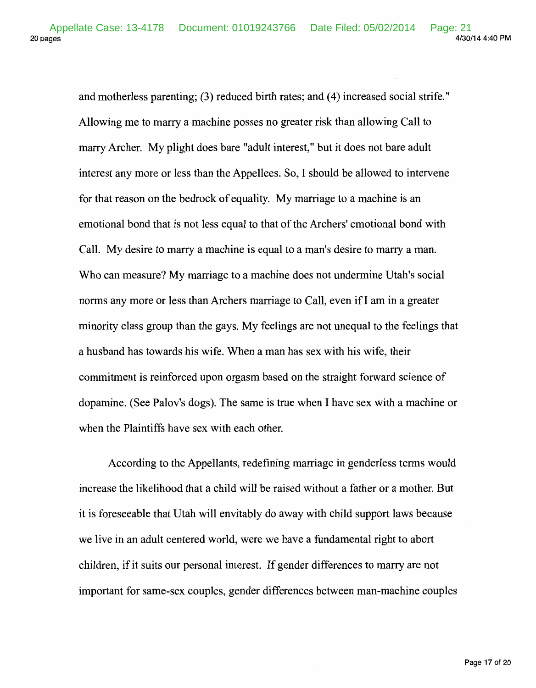20 pages 4/30/14 4:40 PM Appellate Case: 13-4178 Document: 01019243766 Date Filed: 05/02/2014 Page: 21

> and motherless parenting; (3) reduced birth rates; and (4) increased social strife." Allowing me to marry a machine posses no greater risk than allowing Call to marry Archer. My plight does bare "adult interest," but it does not bare adult interest any more or less than the Appellees. So, I should be allowed to intervene for that reason on the bedrock of equality. My marriage to a machine is an emotional bond that is not less equal to that of the Archers' emotional bond with Call. My desire to marry a machine is equal to a man's desire to marry a man. Who can measure? My marriage to a machine does not undermine Utah's social norms any more or less than Archers marriage to Call, even if I am in a greater minority class group than the gays. My feelings are not unequal to the feelings that a husband has towards his wife. When a man has sex with his wife, their commitment is reinforced upon orgasm based on the straight forward science of dopamine. (See Palov's dogs). The same is true when I have sex with a machine or when the Plaintiffs have sex with each other.

> According to the Appellants, redefining marriage in genderless terms would increase the likelihood that a child will be raised without a father or a mother. But it is foreseeable that Utah will envitably do away with child support laws because we live in an adult centered world, were we have a fundamental right to abort children, if it suits our personal interest. If gender differences to marry are not important for same-sex couples, gender differences between man-machine couples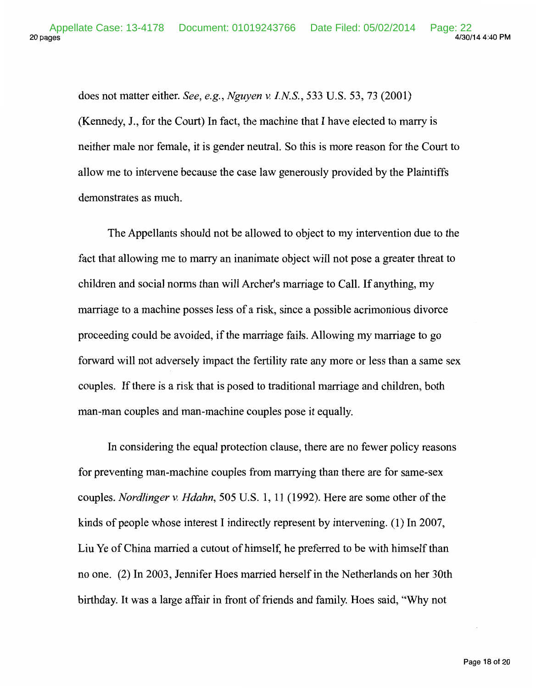does not matter either. *See, e.g., Nguyen v. I.NS.,* 533 U.S. 53, 73 (2001) (Kennedy, J., for the Court) In fact, the machine that I have elected to marry is neither male nor female, it is gender neutral. So this is more reason for the Court to allow me to intervene because the case law generously provided by the Plaintiffs demonstrates as much.

The Appellants should not be allowed to object to my intervention due to the fact that allowing me to marry an inanimate object will not pose a greater threat to children and social norms than will Archer's marriage to Call. If anything, my marriage to a machine posses less of a risk, since a possible acrimonious divorce proceeding could be avoided, if the marriage fails. Allowing my marriage to go forward will not adversely impact the fertility rate any more or less than a same sex couples. If there is a risk that is posed to traditional marriage and children, both man-man couples and man-machine couples pose it equally.

In considering the equal protection clause, there are no fewer policy reasons for preventing man-machine couples from marrying than there are for same-sex couples. *Nordlinger v. Hdahn,* 505 U.S. 1, 11 (1992). Here are some other of the kinds of people whose interest I indirectly represent by intervening. ( 1) In 2007, Liu Ye of China married a cutout of himself, he preferred to be with himself than no one. (2) In 2003, Jennifer Hoes married herself in the Netherlands on her 30th birthday. It was a large affair in front of friends and family. Hoes said, "Why not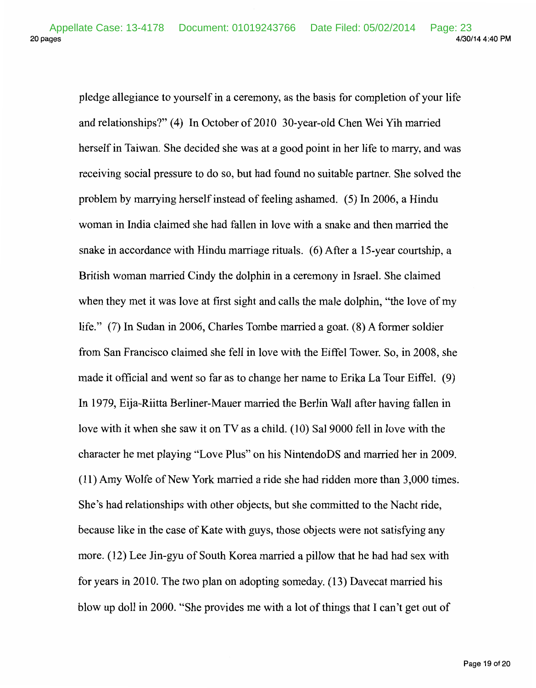pledge allegiance to yourself in a ceremony, as the basis for completion of your life and relationships?" (4) In October of 2010 30-year-old Chen Wei Yih married herself in Taiwan. She decided she was at a good point in her life to marry, and was receiving social pressure to do so, but had found no suitable partner. She solved the problem by marrying herself instead of feeling ashamed. ( 5) In 2006, a Hindu woman in India claimed she had fallen in love with a snake and then married the snake in accordance with Hindu marriage rituals. (6) After a 15-year courtship, a British woman married Cindy the dolphin in a ceremony in Israel. She claimed when they met it was love at first sight and calls the male dolphin, "the love of my life." (7) In Sudan in 2006, Charles Tombe married a goat. (8) A former soldier from San Francisco claimed she fell in love with the Eiffel Tower. So, in 2008, she made it official and went so far as to change her name to Erika La Tour Eiffel. (9) In 1979, Eija-Riitta Berliner-Mauer married the Berlin Wall after having fallen in love with it when she saw it on  $TV$  as a child. (10) Sal 9000 fell in love with the character he met playing "Love Plus" on his NintendoDS and married her in 2009. (11) Amy Wolfe of New York married a ride she had ridden more than 3,000 times. She's had relationships with other objects, but she committed to the Nacht ride, because like in the case of Kate with guys, those objects were not satisfying any more. (12) Lee Jin-gyu of South Korea married a pillow that he had had sex with for years in 2010. The two plan on adopting someday. (13) Davecat married his blow up doll in 2000. "She provides me with a lot of things that I can't get out of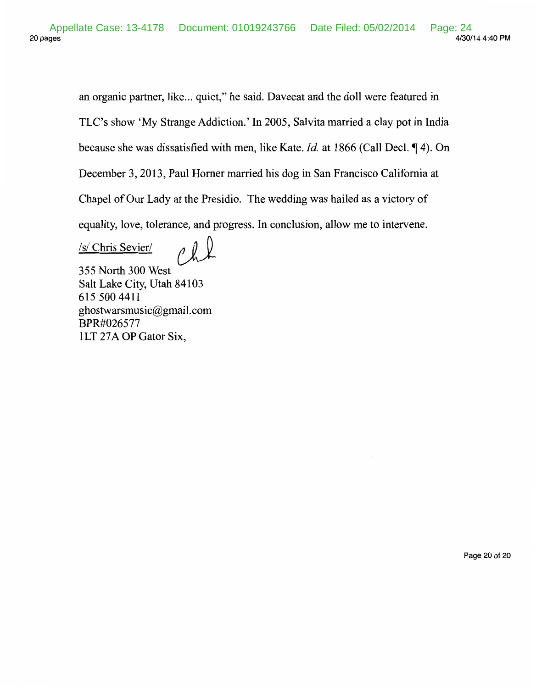an organic partner, like... quiet," he said. Davecat and the doll were featured in TLC's show 'My Strange Addiction.' In 2005, Sal vita married a clay pot in India because she was dissatisfied with men, like Kate. *Id.* at 1866 (Call Decl.  $\P$  4). On December 3, 2013, Paul Homer married his dog in San Francisco California at Chapel of Our Lady at the Presidio. The wedding was hailed as a victory of equality, love, tolerance, and progress. In conclusion, allow me to intervene.

/s/ Chris Sevier/ 355 North 300 West

Salt Lake City, Utah 84103 615 500 4411 ghostwarsmusic@gmail.com BPR#026577 1LT 27A OP Gator Six,

Page 20 of 20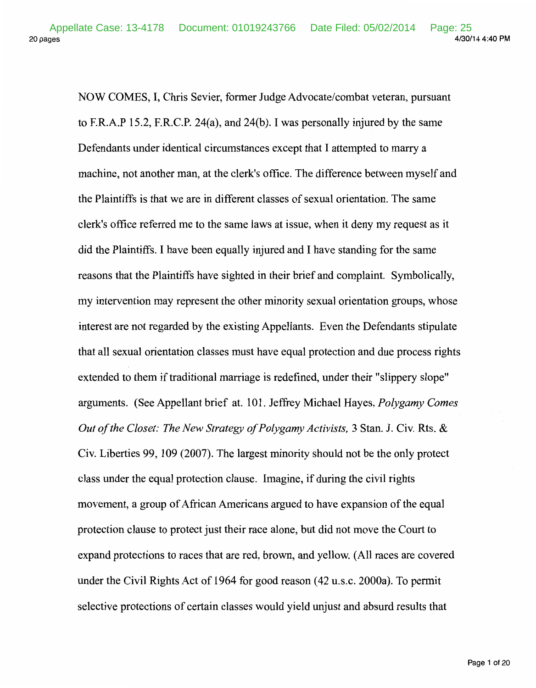20 pages 4/30/14 4:40PM Appellate Case: 13-4178 Document: 01019243766 Date Filed: 05/02/2014 Page: 25

> NOW COMES, I, Chris Sevier, former Judge Advocate/combat veteran, pursuant to F.R.A.P 15.2, F.R.C.P. 24(a), and 24(b). I was personally injured by the same Defendants under identical circumstances except that I attempted to marry a machine, not another man, at the clerk's office. The difference between myself and the Plaintiffs is that we are in different classes of sexual orientation. The same clerk's office referred me to the same laws at issue, when it deny my request as it did the Plaintiffs. I have been equally injured and I have standing for the same reasons that the Plaintiffs have sighted in their brief and complaint. Symbolically, my intervention may represent the other minority sexual orientation groups, whose interest are not regarded by the existing Appellants. Even the Defendants stipulate that all sexual orientation classes must have equal protection and due process rights extended to them if traditional marriage is redefined, under their "slippery slope" arguments. (See Appellant brief at. 101. Jeffrey Michael Hayes, *Polygamy Comes Out of the Closet: The New Strategy of Polygamy Activists,* 3 Stan. J. Civ. Rts. & Civ. Liberties 99, 109 (2007). The largest minority should not be the only protect class under the equal protection clause. Imagine, if during the civil rights movement, a group of African Americans argued to have expansion of the equal protection clause to protect just their race alone, but did not move the Court to expand protections to races that are red, brown, and yellow. (All races are covered under the Civil Rights Act of 1964 for good reason (42 u.s.c. 2000a). To permit selective protections of certain classes would yield unjust and absurd results that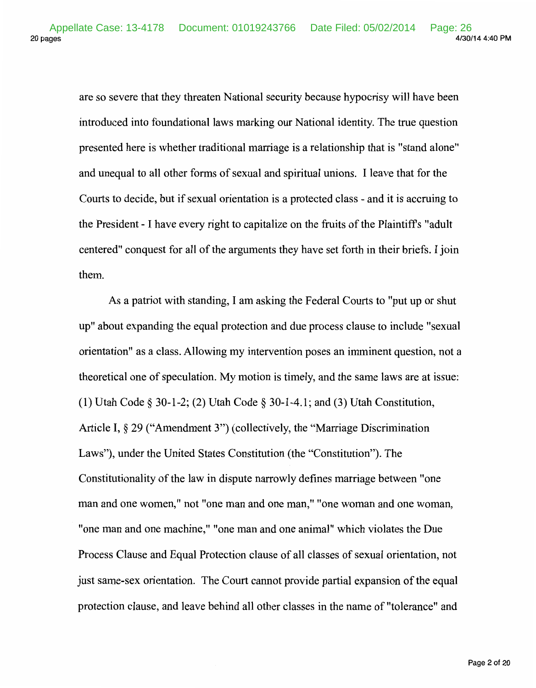are so severe that they threaten National security because hypocrisy will have been introduced into foundational laws marking our National identity. The true question presented here is whether traditional marriage is a relationship that is "stand alone" and unequal to all other forms of sexual and spiritual unions. I leave that for the Courts to decide, but if sexual orientation is a protected class- and it is accruing to the President - I have every right to capitalize on the fruits of the Plaintiffs "adult centered" conquest for all of the arguments they have set forth in their briefs. I join them.

As a patriot with standing, I am asking the Federal Courts to "put up or shut up" about expanding the equal protection and due process clause to include "sexual orientation" as a class. Allowing my intervention poses an imminent question, not a theoretical one of speculation. My motion is timely, and the same laws are at issue: (1) Utah Code§ 30-1-2; (2) Utah Code§ 30-1-4.1; and (3) Utah Constitution, Article I, § 29 ("Amendment 3") (collectively, the "Marriage Discrimination Laws"), under the United States Constitution (the "Constitution"). The Constitutionality of the law in dispute narrowly defines marriage between "one man and one women," not "one man and one man," "one woman and one woman, "one man and one machine," "one man and one animal" which violates the Due Process Clause and Equal Protection clause of all classes of sexual orientation, not just same-sex orientation. The Court cannot provide partial expansion of the equal protection clause, and leave behind all other classes in the name of "tolerance" and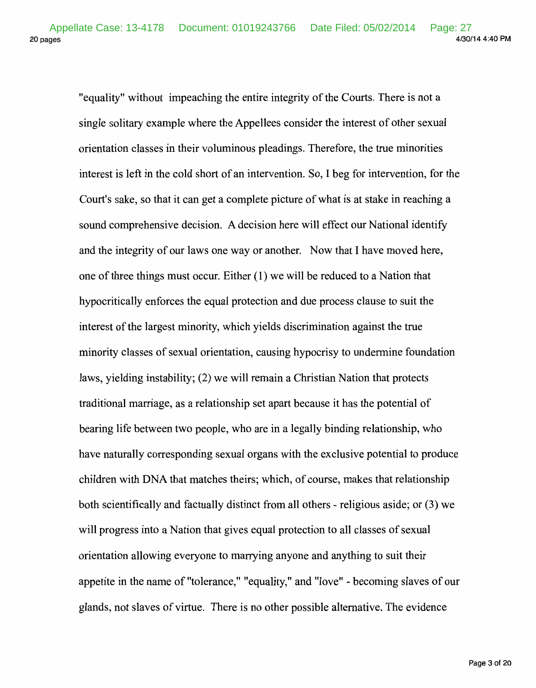"equality" without impeaching the entire integrity of the Courts. There is not a single solitary example where the Appellees consider the interest of other sexual orientation classes in their voluminous pleadings. Therefore, the true minorities interest is left in the cold short of an intervention. So, I beg for intervention, for the Court's sake, so that it can get a complete picture of what is at stake in reaching a sound comprehensive decision. A decision here will effect our National identify and the integrity of our laws one way or another. Now that I have moved here, one of three things must occur. Either ( 1) we will be reduced to a Nation that hypocritically enforces the equal protection and due process clause to suit the interest of the largest minority, which yields discrimination against the true minority classes of sexual orientation, causing hypocrisy to undermine foundation laws, yielding instability; (2) we will remain a Christian Nation that protects traditional marriage, as a relationship set apart because it has the potential of bearing life between two people, who are in a legally binding relationship, who have naturally corresponding sexual organs with the exclusive potential to produce children with DNA that matches theirs; which, of course, makes that relationship both scientifically and factually distinct from all others- religious aside; or (3) we will progress into a Nation that gives equal protection to all classes of sexual orientation allowing everyone to marrying anyone and anything to suit their appetite in the name of "tolerance," "equality," and "love" - becoming slaves of our glands, not slaves of virtue. There is no other possible alternative. The evidence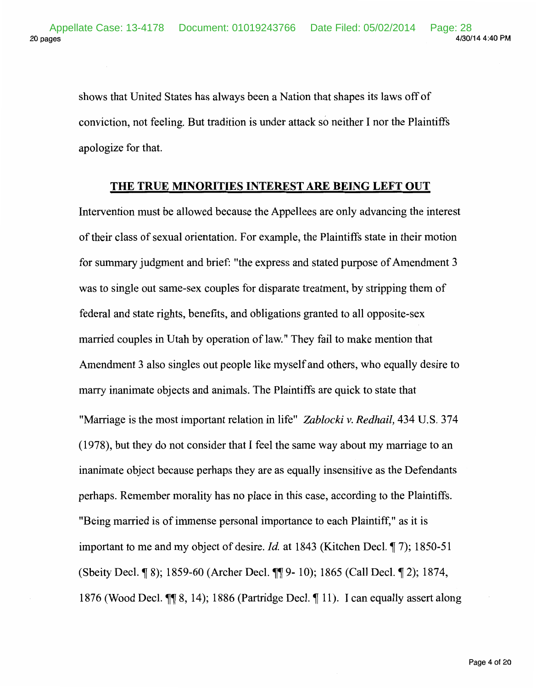shows that United States has always been a Nation that shapes its laws off of conviction, not feeling. But tradition is under attack so neither I nor the Plaintiffs apologize for that.

#### **THE TRUE MINORITIES INTEREST ARE BEING LEFT OUT**

Intervention must be allowed because the Appellees are only advancing the interest of their class of sexual orientation. For example, the Plaintiffs state in their motion for summary judgment and brief: "the express and stated purpose of Amendment 3 was to single out same-sex couples for disparate treatment, by stripping them of federal and state rights, benefits, and obligations granted to all opposite-sex married couples in Utah by operation of law." They fail to make mention that Amendment 3 also singles out people like myself and others, who equally desire to marry inanimate objects and animals. The Plaintiffs are quick to state that "Marriage is the most important relation in life" *Zablocki* v. *Redhail,* 434 U.S. 374 (1978), but they do not consider that I feel the same way about my marriage to an inanimate object because perhaps they are as equally insensitive as the Defendants perhaps. Remember morality has no place in this case, according to the Plaintiffs. "Being married is of immense personal importance to each Plaintiff," as it is important to me and my object of desire. *Id.* at 1843 (Kitchen Decl. 17); 1850-51 (Sbeity Decl. ¶ 8); 1859-60 (Archer Decl. ¶ 9- 10); 1865 (Call Decl. ¶ 2); 1874, 1876 (Wood Decl.  $\P\P$  8, 14); 1886 (Partridge Decl.  $\P$  11). I can equally assert along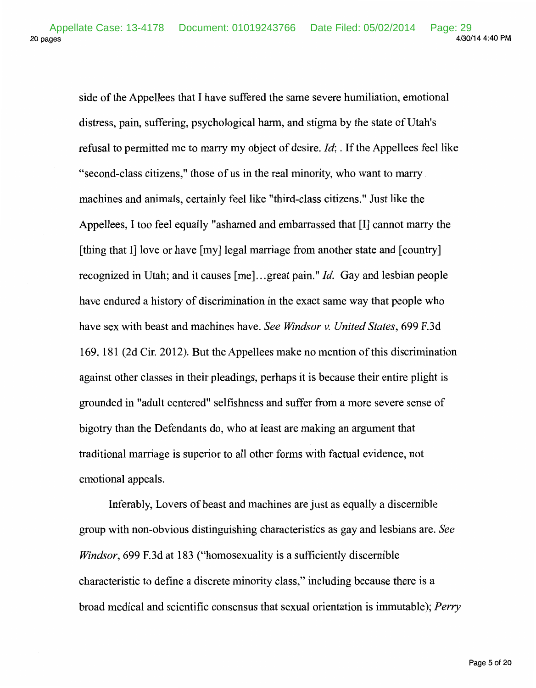20 pages 4/30/14 4:40 PM Appellate Case: 13-4178 Document: 01019243766 Date Filed: 05/02/2014 Page: 29<br>4/30/14 4:40 PM

> side of the Appellees that I have suffered the same severe humiliation, emotional distress, pain, suffering, psychological harm, and stigma by the state of Utah's refusal to permitted me to marry my object of desire. *Id;.* If the Appellees feel like "second-class citizens," those of us in the real minority, who want to marry machines and animals, certainly feel like "third-class citizens." Just like the Appellees, I too feel equally "ashamed and embarrassed that [I] cannot marry the [thing that I] love or have [my] legal marriage from another state and [country] recognized in Utah; and it causes [me] ... great pain." *Id.* Gay and lesbian people have endured a history of discrimination in the exact same way that people who have sex with beast and machines have. *See Windsor v. United States,* 699 F.3d 169, 181 (2d Cir. 2012). But the Appellees make no mention of this discrimination against other classes in their pleadings, perhaps it is because their entire plight is grounded in "adult centered" selfishness and suffer from a more severe sense of bigotry than the Defendants do, who at least are making an argument that traditional marriage is superior to all other forms with factual evidence, not emotional appeals.

> Inferably, Lovers of beast and machines are just as equally a discernible group with non-obvious distinguishing characteristics as gay and lesbians are. *See Windsor,* 699 F.3d at 183 ("homosexuality is a sufficiently discernible characteristic to define a discrete minority class," including because there is a broad medical and scientific consensus that sexual orientation is immutable); *Perry*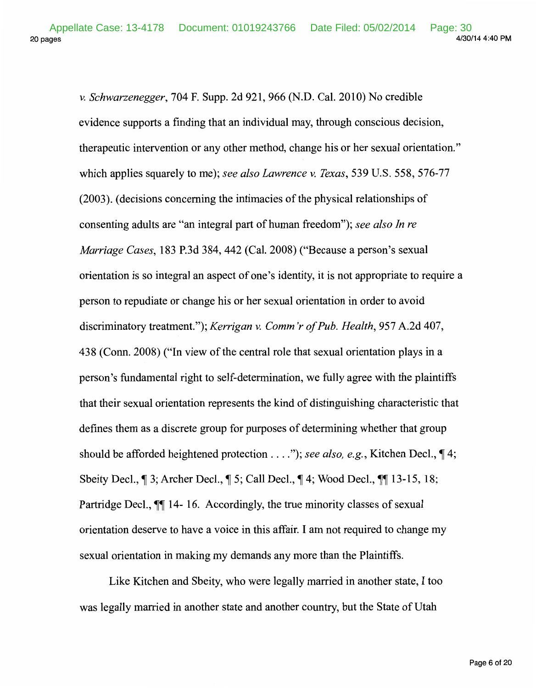*v. Schwarzenegger,* 704 F. Supp. 2d 921, 966 (N.D. Cal. 2010) No credible evidence supports a finding that an individual may, through conscious decision, therapeutic intervention or any other method, change his or her sexual orientation." which applies squarely to me); *see also Lawrence v. Texas,* 539 U.S. 558, 576-77 (2003). (decisions concerning the intimacies of the physical relationships of consenting adults are "an integral part of human freedom"); *see also In re Marriage Cases,* 183 P.3d 384, 442 (Cal. 2008) ("Because a person's sexual orientation is so integral an aspect of one's identity, it is not appropriate to require a person to repudiate or change his or her sexual orientation in order to avoid discriminatory treatment."); *Kerrigan v. Comm 'r of Pub. Health,* 957 A.2d 407, 438 (Conn. 2008) ("In view of the central role that sexual orientation plays in a person's fundamental right to self-determination, we fully agree with the plaintiffs that their sexual orientation represents the kind of distinguishing characteristic that defines them as a discrete group for purposes of determining whether that group should be afforded heightened protection . . . *.*"); see also, e.g., Kitchen Decl.,  $\P$ 4; Sbeity Decl.,  $\parallel$  3; Archer Decl.,  $\parallel$  5; Call Decl.,  $\parallel$  4; Wood Decl.,  $\parallel$  13-15, 18; Partridge Decl.,  $\blacksquare$  14-16. Accordingly, the true minority classes of sexual orientation deserve to have a voice in this affair. I am not required to change my sexual orientation in making my demands any more than the Plaintiffs.

Like Kitchen and Sbeity, who were legally married in another state, I too was legally married in another state and another country, but the State of Utah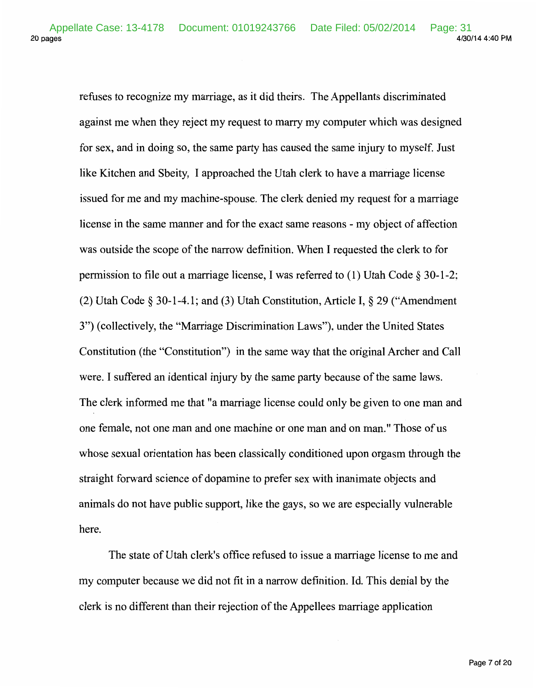refuses to recognize my marriage, as it did theirs. The Appellants discriminated against me when they reject my request to marry my computer which was designed for sex, and in doing so, the same party has caused the same injury to myself. Just like Kitchen and Sbeity, I approached the Utah clerk to have a marriage license issued for me and my machine-spouse. The clerk denied my request for a marriage license in the same manner and for the exact same reasons- my object of affection was outside the scope of the narrow definition. When I requested the clerk to for permission to file out a marriage license, I was referred to (1) Utah Code § 30-1-2; (2) Utah Code § 30-1-4.1; and (3) Utah Constitution, Article I, § 29 ("Amendment 3 ") (collectively, the "Marriage Discrimination Laws"), under the United States Constitution (the "Constitution") in the same way that the original Archer and Call were. I suffered an identical injury by the same party because of the same laws. The clerk informed me that "a marriage license could only be given to one man and one female, not one man and one machine or one man and on man." Those of us whose sexual orientation has been classically conditioned upon orgasm through the straight forward science of dopamine to prefer sex with inanimate objects and animals do not have public support, like the gays, so we are especially vulnerable here.

The state of Utah clerk's office refused to issue a marriage license to me and my computer because we did not fit in a narrow definition. Id. This denial by the clerk is no different than their rejection of the Appellees marriage application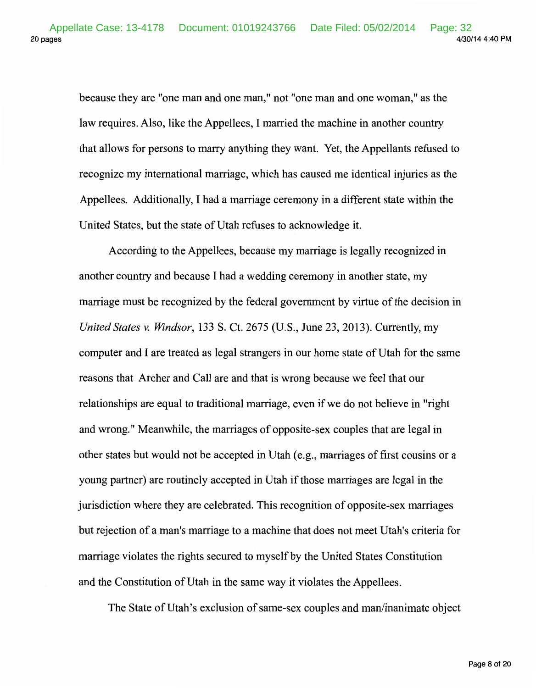because they are "one man and one man," not "one man and one woman," as the law requires. Also, like the Appellees, I married the machine in another country that allows for persons to marry anything they want. Yet, the Appellants refused to recognize my international marriage, which has caused me identical injuries as the Appellees. Additionally, I had a marriage ceremony in a different state within the United States, but the state of Utah refuses to acknowledge it.

According to the Appellees, because my marriage is legally recognized in another country and because I had a wedding ceremony in another state, my marriage must be recognized by the federal government by virtue of the decision in *United States v. Windsor,* 133 S. Ct. 2675 (U.S., June 23, 2013). Currently, my computer and I are treated as legal strangers in our home state of Utah for the same reasons that Archer and Call are and that is wrong because we feel that our relationships are equal to traditional marriage, even if we do not believe in "right and wrong." Meanwhile, the marriages of opposite-sex couples that are legal in other states but would not be accepted in Utah (e.g., marriages of first cousins or a young partner) are routinely accepted in Utah if those marriages are legal in the jurisdiction where they are celebrated. This recognition of opposite-sex marriages but rejection of a man's marriage to a machine that does not meet Utah's criteria for marriage violates the rights secured to myself by the United States Constitution and the Constitution of Utah in the same way it violates the Appellees.

The State of Utah's exclusion of same-sex couples and man/inanimate object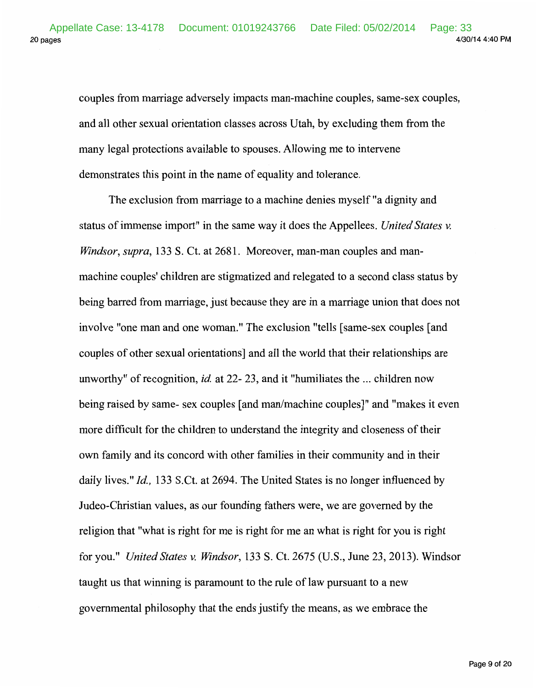couples from marriage adversely impacts man-machine couples, same-sex couples, and all other sexual orientation classes across Utah, by excluding them from the many legal protections available to spouses. Allowing me to intervene demonstrates this point in the name of equality and tolerance.

The exclusion from marriage to a machine denies myself "a dignity and status of immense import" in the same way it does the Appellees. *United States v. Windsor, supra,* 133 S. Ct. at 2681. Moreover, man-man couples and manmachine couples' children are stigmatized and relegated to a second class status by being barred from marriage, just because they are in a marriage union that does not involve "one man and one woman." The exclusion "tells [same-sex couples [and couples of other sexual orientations] and all the world that their relationships are unworthy" of recognition, *id.* at 22- 23, and it "humiliates the ... children now being raised by same- sex couples [and man/machine couples]" and "makes it even more difficult for the children to understand the integrity and closeness of their own family and its concord with other families in their community and in their daily lives." *!d.,* 133 S.Ct. at 2694. The United States is no longer influenced by Judea-Christian values, as our founding fathers were, we are governed by the religion that "what is right for me is right for me an what is right for you is right for you." *United States v. Windsor,* 133 S. Ct. 2675 (U.S., June 23, 2013). Windsor taught us that winning is paramount to the rule of law pursuant to a new governmental philosophy that the ends justify the means, as we embrace the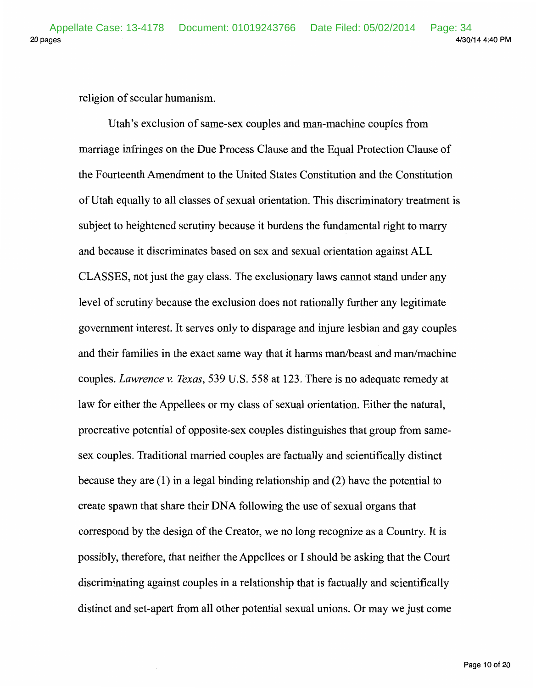religion of secular humanism.

Utah's exclusion of same-sex couples and man-machine couples from marriage infringes on the Due Process Clause and the Equal Protection Clause of the Fourteenth Amendment to the United States Constitution and the Constitution of Utah equally to all classes of sexual orientation. This discriminatory treatment is subject to heightened scrutiny because it burdens the fundamental right to marry and because it discriminates based on sex and sexual orientation against ALL CLASSES, not just the gay class. The exclusionary laws cannot stand under any level of scrutiny because the exclusion does not rationally further any legitimate government interest. It serves only to disparage and injure lesbian and gay couples and their families in the exact same way that it harms man/beast and man/machine couples. *Lawrence v. Texas,* 539 U.S. 558 at 123. There is no adequate remedy at law for either the Appellees or my class of sexual orientation. Either the natural, procreative potential of opposite-sex couples distinguishes that group from samesex couples. Traditional married couples are factually and scientifically distinct because they are  $(1)$  in a legal binding relationship and  $(2)$  have the potential to create spawn that share their DNA following the use of sexual organs that correspond by the design of the Creator, we no long recognize as a Country. It is possibly, therefore, that neither the Appellees or I should be asking that the Court discriminating against couples in a relationship that is factually and scientifically distinct and set-apart from all other potential sexual unions. Or may we just come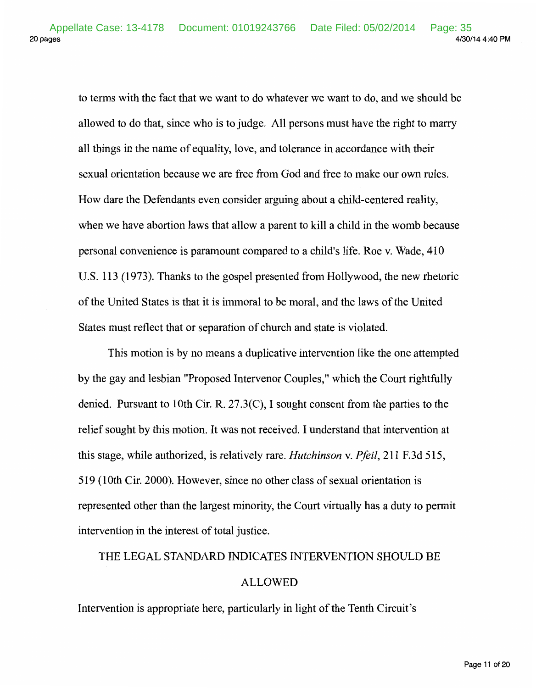to terms with the fact that we want to do whatever we want to do, and we should be allowed to do that, since who is to judge. All persons must have the right to marry all things in the name of equality, love, and tolerance in accordance with their sexual orientation because we are free from God and free to make our own rules. How dare the Defendants even consider arguing about a child-centered reality, when we have abortion laws that allow a parent to kill a child in the womb because personal convenience is paramount compared to a child's life. Roe v. Wade, 410 U.S. 113 (1973). Thanks to the gospel presented from Hollywood, the new rhetoric of the United States is that it is immoral to be moral, and the laws of the United States must reflect that or separation of church and state is violated.

This motion is by no means a duplicative intervention like the one attempted by the gay and lesbian "Proposed Intervenor Couples," which the Court rightfully denied. Pursuant to lOth Cir. R. 27.3(C), I sought consent from the parties to the relief sought by this motion. It was not received. I understand that intervention at this stage, while authorized, is relatively rare. *Hutchinson* v. *Pfeil,* 211 F. 3d 515, 519 (1Oth Cir. 2000). However, since no other class of sexual orientation is represented other than the largest minority, the Court virtually has a duty to permit intervention in the interest of total justice.

# THE LEGAL STANDARD INDICATES INTERVENTION SHOULD BE

## ALLOWED

Intervention is appropriate here, particularly in light of the Tenth Circuit's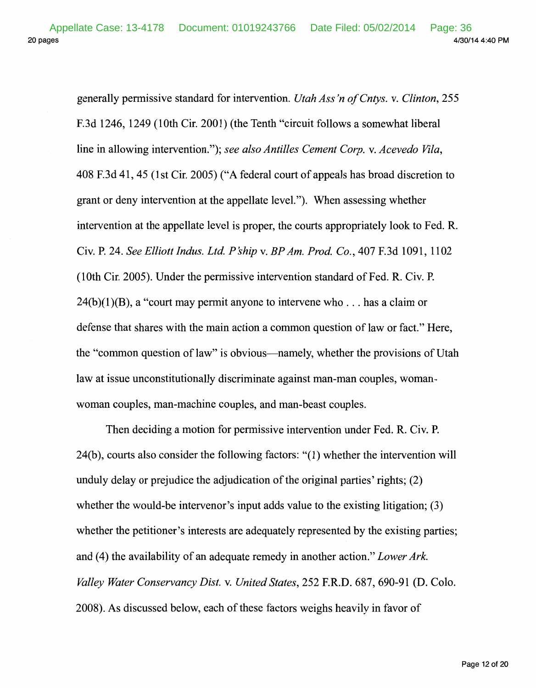20 pages 4/30/14 4:40 PM Appellate Case: 13-4178 Document: 01019243766 Date Filed: 05/02/2014 Page: 36

> generally permissive standard for intervention. *Utah Ass 'n ofCntys.* v. *Clinton,* 255 F.3d 1246, 1249 (1Oth Cir. 2001) (the Tenth "circuit follows a somewhat liberal line in allowing intervention."); *see also Antilles Cement Corp.* v. *Acevedo Vila,*  408 F.3d 41, 45 (1st Cir. 2005) ("A federal court of appeals has broad discretion to grant or deny intervention at the appellate level."). When assessing whether intervention at the appellate level is proper, the courts appropriately look to Fed. R. Civ. P. 24. *See Elliott Indus. Ltd. P 'ship* v. *BP Am. Prod. Co.,* 407 F. 3d 1091, 1102 (10th Cir. 2005). Under the permissive intervention standard of Fed. R. Civ. P.  $24(b)(1)(B)$ , a "court may permit anyone to intervene who ... has a claim or defense that shares with the main action a common question of law or fact." Here, the "common question of law" is obvious-namely, whether the provisions of Utah law at issue unconstitutionally discriminate against man-man couples, womanwoman couples, man-machine couples, and man-beast couples.

> Then deciding a motion for permissive intervention under Fed. R. Civ. P. 24(b), courts also consider the following factors: "(1) whether the intervention will unduly delay or prejudice the adjudication of the original parties' rights; (2) whether the would-be intervenor's input adds value to the existing litigation; (3) whether the petitioner's interests are adequately represented by the existing parties; and (4) the availability of an adequate remedy in another action." *Lower Ark. Valley Water Conservancy Dist.* v. *United States,* 252 F.R.D. 687, 690-91 (D. Colo. 2008). As discussed below, each of these factors weighs heavily in favor of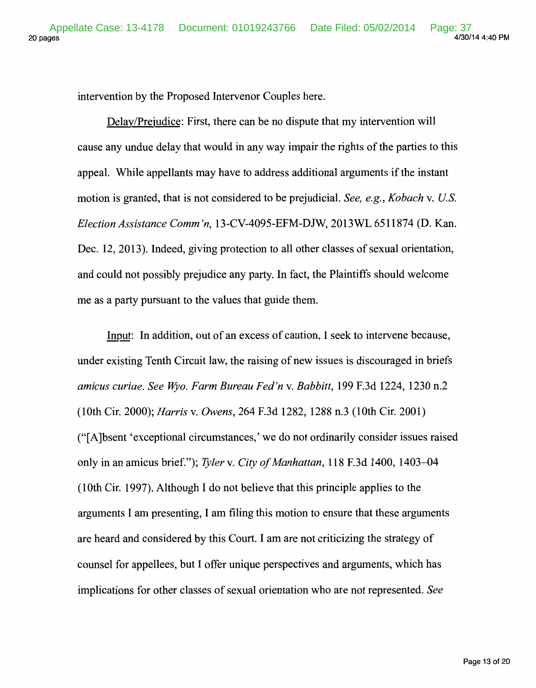intervention by the Proposed Intervenor Couples here.

Delay/Prejudice: First, there can be no dispute that my intervention will cause any undue delay that would in any way impair the rights of the parties to this appeal. While appellants may have to address additional arguments if the instant motion is granted, that is not considered to be prejudicial. *See, e.g., Kobach* v. *U.S. Election Assistance Comm'n,* 13-CV-4095-EFM-DJW, 2013WL 6511874 (D. Kan. Dec. 12, 2013). Indeed, giving protection to all other classes of sexual orientation, and could not possibly prejudice any party. In fact, the Plaintiffs should welcome me as a party pursuant to the values that guide them.

Input: In addition, out of an excess of caution, I seek to intervene because, under existing Tenth Circuit law, the raising of new issues is discouraged in briefs *amicus curiae. See Wyo. Farm Bureau Fed'n v. Babbitt,* 199 F.3d 1224, 1230 n.2 (lOth Cir. 2000); *Harris* v. *Owens,* 264 F.3d 1282, 1288 n.3 (lOth Cir. 2001) ("[A ]bsent 'exceptional circumstances,' we do not ordinarily consider issues raised only in an amicus brief."); *Tyler* v. *City of Manhattan,* 118 F.3d 1400, 1403-04 (lOth Cir. 1997). Although I do not believe that this principle applies to the arguments I am presenting, I am filing this motion to ensure that these arguments are heard and considered by this Court. I am are not criticizing the strategy of counsel for appellees, but I offer unique perspectives and arguments, which has implications for other classes of sexual orientation who are not represented. *See*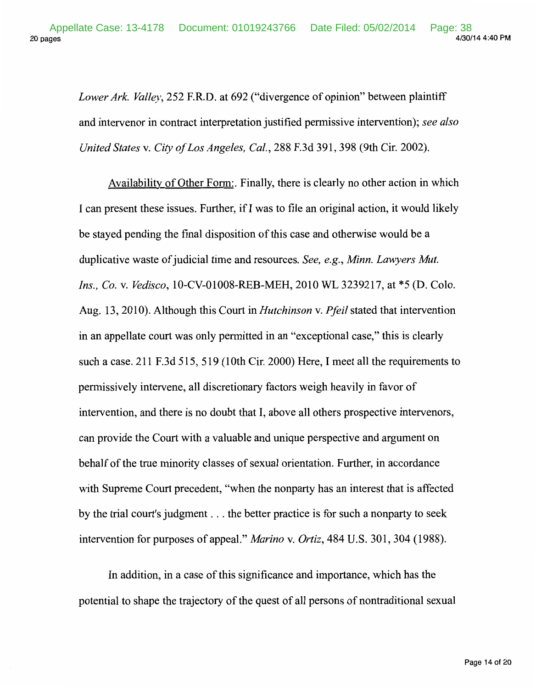*Lower Ark. Valley,* 252 F.R.D. at 692 ("divergence of opinion" between plaintiff and intervenor in contract interpretation justified permissive intervention); *see also United States* v. *City of Los Angeles, Cal.,* 288 F.3d 391, 398 (9th Cir. 2002).

Availability of Other Form:. Finally, there is clearly no other action in which I can present these issues. Further, if I was to file an original action, it would likely be stayed pending the final disposition of this case and otherwise would be a duplicative waste of judicial time and resources. *See, e.g., Minn. Lawyers Mut. Ins., Co.* v. *Vedisco,* 10-CV-01008-REB-MEH, 2010 WL 3239217, at \*5 (D. Colo. Aug. 13, 2010). Although this Court in *Hutchinson* v. *Pfeil* stated that intervention in an appellate court was only permitted in an "exceptional case," this is clearly such a case. 211 F.3d 515, 519 (10th Cir. 2000) Here, I meet all the requirements to permissively intervene, all discretionary factors weigh heavily in favor of intervention, and there is no doubt that I, above all others prospective intervenors, can provide the Court with a valuable and unique perspective and argument on behalf of the true minority classes of sexual orientation. Further, in accordance with Supreme Court precedent, "when the nonparty has an interest that is affected by the trial court's judgment ... the better practice is for such a nonparty to seek intervention for purposes of appeal." *Marino* v. *Ortiz,* 484 U.S. 301, 304 (1988).

In addition, in a case of this significance and importance, which has the potential to shape the trajectory of the quest of all persons of nontraditional sexual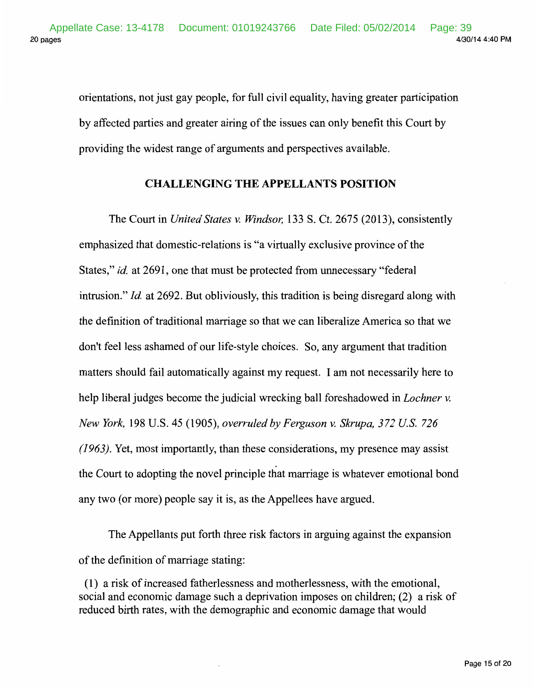orientations, not just gay people, for full civil equality, having greater participation by affected parties and greater airing of the issues can only benefit this Court by providing the widest range of arguments and perspectives available.

## **CHALLENGING THE APPELLANTS POSITION**

The Court in *United States v. Windsor,* 133 S. Ct. 2675 (2013), consistently emphasized that domestic-relations is "a virtually exclusive province of the States," *id.* at 2691, one that must be protected from unnecessary "federal intrusion." *!d.* at 2692. But obliviously, this tradition is being disregard along with the definition of traditional marriage so that we can liberalize America so that we don't feel less ashamed of our life-style choices. So, any argument that tradition matters should fail automatically against my request. I am not necessarily here to help liberal judges become the judicial wrecking ball foreshadowed in *Lochner v. New York,* 198 U.S. 45 (1905), *overruled by Ferguson v. Skrupa, 372 U.S. 726 (1963).* Yet, most importantly, than these considerations, my presence may assist the Court to adopting the novel principle that marriage is whatever emotional bond any two (or more) people say it is, as the Appellees have argued.

The Appellants put forth three risk factors in arguing against the expansion of the definition of marriage stating:

( 1) a risk of increased fatherlessness and motherlessness, with the emotional, social and economic damage such a deprivation imposes on children; (2) a risk of reduced birth rates, with the demographic and economic damage that would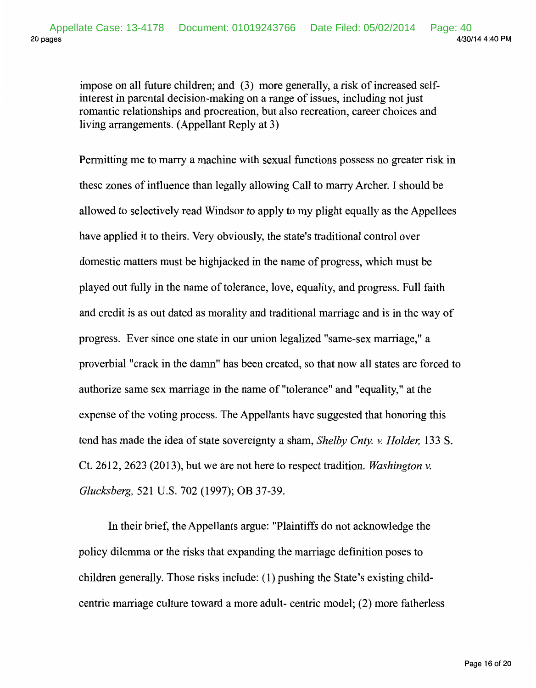impose on all future children; and (3) more generally, a risk of increased selfinterest in parental decision-making on a range of issues, including not just romantic relationships and procreation, but also recreation, career choices and living arrangements. (Appellant Reply at 3)

Permitting me to marry a machine with sexual functions possess no greater risk in these zones of influence than legally allowing Call to marry Archer. I should be allowed to selectively read Windsor to apply to my plight equally as the Appellees have applied it to theirs. Very obviously, the state's traditional control over domestic matters must be highjacked in the name of progress, which must be played out fully in the name of tolerance, love, equality, and progress. Full faith and credit is as out dated as morality and traditional marriage and is in the way of progress. Ever since one state in our union legalized "same-sex marriage," a proverbial "crack in the damn" has been created, so that now all states are forced to authorize same sex marriage in the name of "tolerance" and "equality," at the expense of the voting process. The Appellants have suggested that honoring this tend has made the idea of state sovereignty a sham, *Shelby Cnty. v. Holder,* 133 S. Ct. 2612, 2623 (2013), but we are not here to respect tradition. *Washington v. Glucksberg,* 521 U.S. 702 (1997); OB 37-39.

In their brief, the Appellants argue: "Plaintiffs do not acknowledge the policy dilemma or the risks that expanding the marriage definition poses to children generally. Those risks include: (1) pushing the State's existing childcentric marriage culture toward a more adult- centric model; (2) more fatherless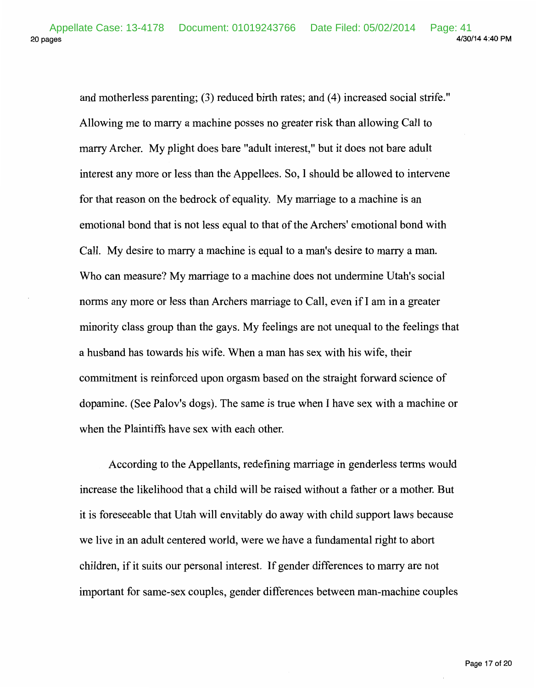and motherless parenting; (3) reduced birth rates; and (4) increased social strife." Allowing me to marry a machine posses no greater risk than allowing Call to marry Archer. My plight does bare "adult interest," but it does not bare adult interest any more or less than the Appellees. So, I should be allowed to intervene for that reason on the bedrock of equality. My marriage to a machine is an emotional bond that is not less equal to that of the Archers' emotional bond with Call. My desire to marry a machine is equal to a man's desire to marry a man. Who can measure? My marriage to a machine does not undermine Utah's social norms any more or less than Archers marriage to Call, even if I am in a greater minority class group than the gays. My feelings are not unequal to the feelings that a husband has towards his wife. When a man has sex with his wife, their commitment is reinforced upon orgasm based on the straight forward science of dopamine. (See Palov's dogs). The same is true when I have sex with a machine or when the Plaintiffs have sex with each other.

According to the Appellants, redefining marriage in genderless terms would increase the likelihood that a child will be raised without a father or a mother. But it is foreseeable that Utah will envitably do away with child support laws because we live in an adult centered world, were we have a fundamental right to abort children, if it suits our personal interest. If gender differences to marry are not important for same-sex couples, gender differences between man-machine couples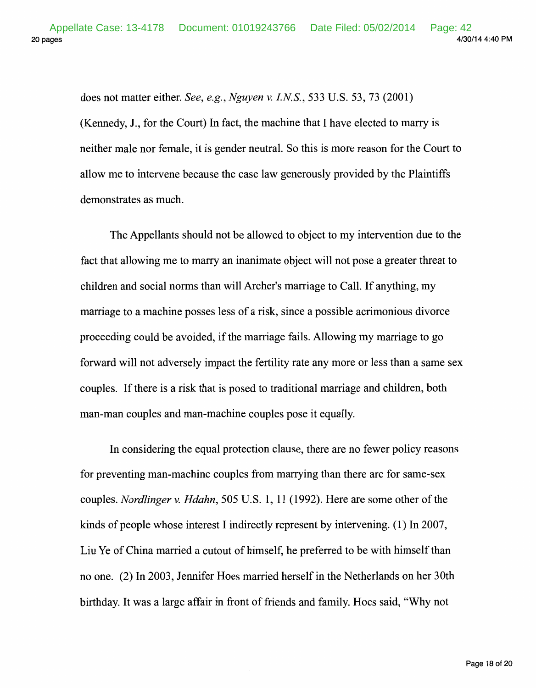does not matter either. *See, e.g., Nguyen v. I.NS.,* 533 U.S. 53, 73 (2001) (Kennedy, **J.,** for the Court) In fact, the machine that I have elected to marry is neither male nor female, it is gender neutral. So this is more reason for the Court to allow me to intervene because the case law generously provided by the Plaintiffs demonstrates as much.

The Appellants should not be allowed to object to my intervention due to the fact that allowing me to marry an inanimate object will not pose a greater threat to children and social norms than will Archer's marriage to Call. If anything, my marriage to a machine posses less of a risk, since a possible acrimonious divorce proceeding could be avoided, if the marriage fails. Allowing my marriage to go forward will not adversely impact the fertility rate any more or less than a same sex couples. If there is a risk that is posed to traditional marriage and children, both man-man couples and man-machine couples pose it equally.

In considering the equal protection clause, there are no fewer policy reasons for preventing man-machine couples from marrying than there are for same-sex couples. *Nordlinger v. Hdahn,* 505 U.S. 1, **11** (1992). Here are some other of the kinds of people whose interest I indirectly represent by intervening. ( **1)** In 2007, Liu Ye of China married a cutout of himself, he preferred to be with himself than no one. (2) In 2003, Jennifer Hoes married herself in the Netherlands on her 30th birthday. It was a large affair in front of friends and family. Hoes said, "Why not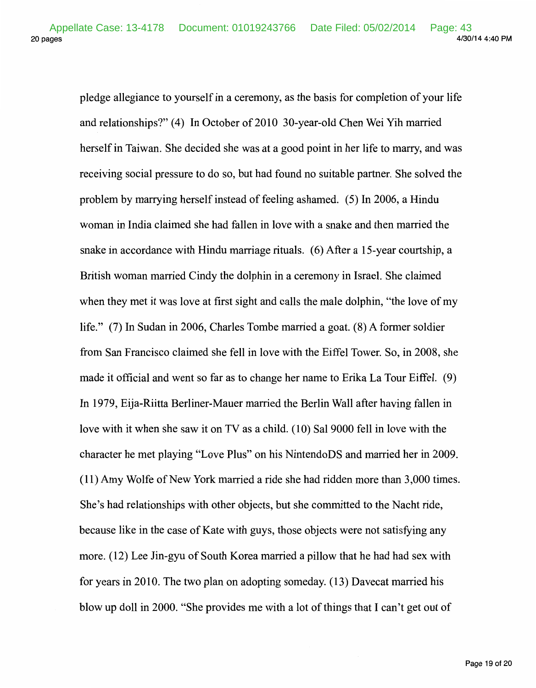20 pages 4/30/14 4:40 PM Appellate Case: 13-4178 Document: 01019243766 Date Filed: 05/02/2014 Page: 43

pledge allegiance to yourself in a ceremony, as the basis for completion of your life and relationships?" (4) In October of 2010 30-year-old Chen Wei Yih married herself in Taiwan. She decided she was at a good point in her life to marry, and was receiving social pressure to do so, but had found no suitable partner. She solved the problem by marrying herself instead of feeling ashamed. ( 5) In 2006, a Hindu woman in India claimed she had fallen in love with a snake and then married the snake in accordance with Hindu marriage rituals. (6) After a 15-year courtship, a British woman married Cindy the dolphin in a ceremony in Israel. She claimed when they met it was love at first sight and calls the male dolphin, "the love of my life." (7) In Sudan in 2006, Charles Tombe married a goat. (8) A former soldier from San Francisco claimed she fell in love with the Eiffel Tower. So, in 2008, she made it official and went so far as to change her name to Erika La Tour Eiffel. (9) In 1979, Eija-Riitta Berliner-Mauer married the Berlin Wall after having fallen in love with it when she saw it on TV as a child. (10) Sal 9000 fell in love with the character he met playing "Love Plus" on his NintendoDS and married her in 2009. (11) Amy Wolfe of New York married a ride she had ridden more than 3,000 times. She's had relationships with other objects, but she committed to the Nacht ride, because like in the case of Kate with guys, those objects were not satisfying any more. (12) Lee Jin-gyu of South Korea married a pillow that he had had sex with for years in 2010. The two plan on adopting someday. (13) Davecat married his blow up doll in 2000. "She provides me with a lot of things that I can't get out of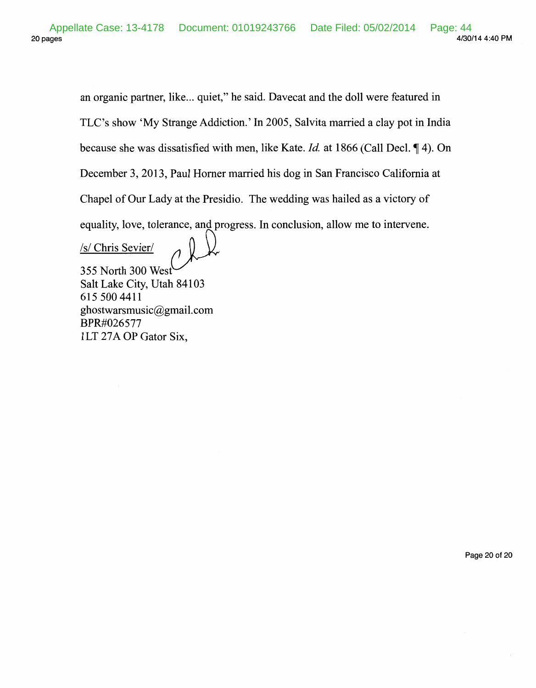an organic partner, like... quiet," he said. Davecat and the doll were featured in TLC's show 'My Strange Addiction.' In 2005, Salvita married a clay pot in India because she was dissatisfied with men, like Kate. *Id.* at 1866 (Call Decl.  $\P$  4). On December 3, 2013, Paul Homer married his dog in San Francisco California at Chapel of Our Lady at the Presidio. The wedding was hailed as a victory of equality, love, tolerance, and progress. In conclusion, allow me to intervene.<br>
<u>/s/ Chris Sevier/</u> *A* 

355 North 300 West Salt Lake City, Utah 84103 615 500 4411 ghostwarsmusic@gmail.com BPR#026577 1LT 27A OP Gator Six,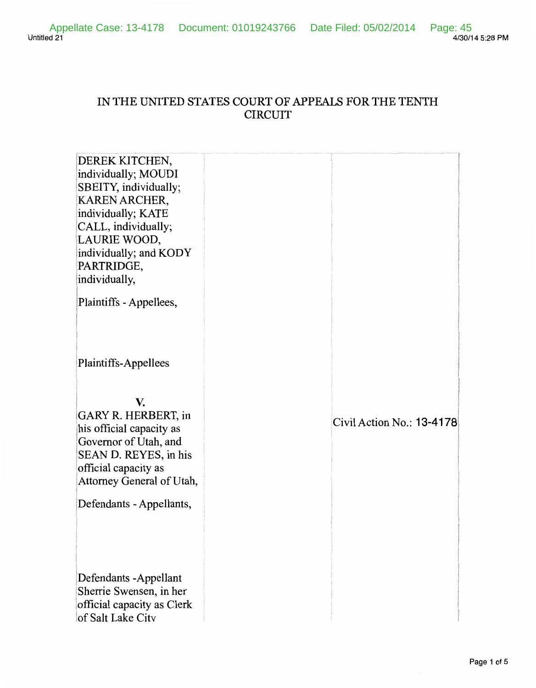Untitled 21 Page: 45<br>4/30/14 5:28 PM Appellate Case: 13-4178 Document: 01019243766 Date Filed: 05/02/2014 Page: 45

## IN THE UNITED STATES COURT OF APPEALS FOR THE TENTH CIRCUIT

| DEREK KITCHEN,<br>individually; MOUDI<br>SBEITY, individually;<br>KAREN ARCHER,<br>individually; KATE<br>CALL, individually;<br>LAURIE WOOD,<br>individually; and KODY<br>PARTRIDGE,<br>individually,<br>Plaintiffs - Appellees, |                           |
|----------------------------------------------------------------------------------------------------------------------------------------------------------------------------------------------------------------------------------|---------------------------|
| Plaintiffs-Appellees                                                                                                                                                                                                             |                           |
| V.<br>GARY R. HERBERT, in<br>his official capacity as<br>Governor of Utah, and<br>SEAN D. REYES, in his<br>official capacity as<br>Attorney General of Utah,                                                                     | Civil Action No.: 13-4178 |
| Defendants - Appellants,                                                                                                                                                                                                         |                           |
| Defendants - Appellant<br>Sherrie Swensen, in her<br>official capacity as Clerk<br>of Salt Lake Citv                                                                                                                             |                           |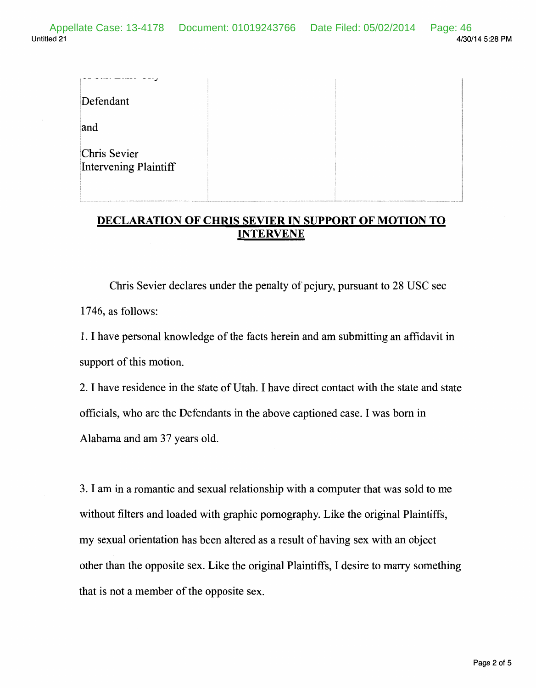| Defendant                             |  |
|---------------------------------------|--|
| and                                   |  |
| Chris Sevier<br>Intervening Plaintiff |  |

## DECLARATION OF CHRIS SEVIER IN SUPPORT OF MOTION TO INTERVENE

Chris Sevier declares under the penalty of pejury, pursuant to 28 USC sec 1746, as follows:

1. I have personal knowledge of the facts herein and am submitting an affidavit in support of this motion.

2. I have residence in the state of Utah. I have direct contact with the state and state officials, who are the Defendants in the above captioned case. I was born in Alabama and am 37 years old.

3. I am in a romantic and sexual relationship with a computer that was sold to me without filters and loaded with graphic pornography. Like the original Plaintiffs, my sexual orientation has been altered as a result of having sex with an object other than the opposite sex. Like the original Plaintiffs, I desire to marry something that is not a member of the opposite sex.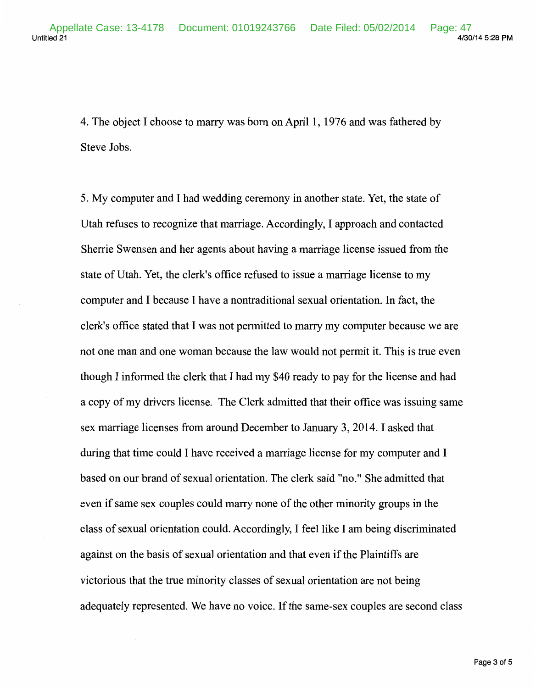4. The object I choose to marry was born on April 1, 1976 and was fathered by Steve Jobs.

5. My computer and I had wedding ceremony in another state. Yet, the state of Utah refuses to recognize that marriage. Accordingly, I approach and contacted Sherrie Swensen and her agents about having a marriage license issued from the state of Utah. Yet, the clerk's office refused to issue a marriage license to my computer and I because I have a nontraditional sexual orientation. In fact, the clerk's office stated that I was not permitted to marry my computer because we are not one man and one woman because the law would not permit it. This is true even though I informed the clerk that I had my \$40 ready to pay for the license and had a copy of my drivers license. The Clerk admitted that their office was issuing same sex marriage licenses from around December to January 3, 2014. I asked that during that time could I have received a marriage license for my computer and I based on our brand of sexual orientation. The clerk said "no." She admitted that even if same sex couples could marry none of the other minority groups in the class of sexual orientation could. Accordingly, I feel like I am being discriminated against on the basis of sexual orientation and that even if the Plaintiffs are victorious that the true minority classes of sexual orientation are not being adequately represented. We have no voice. If the same-sex couples are second class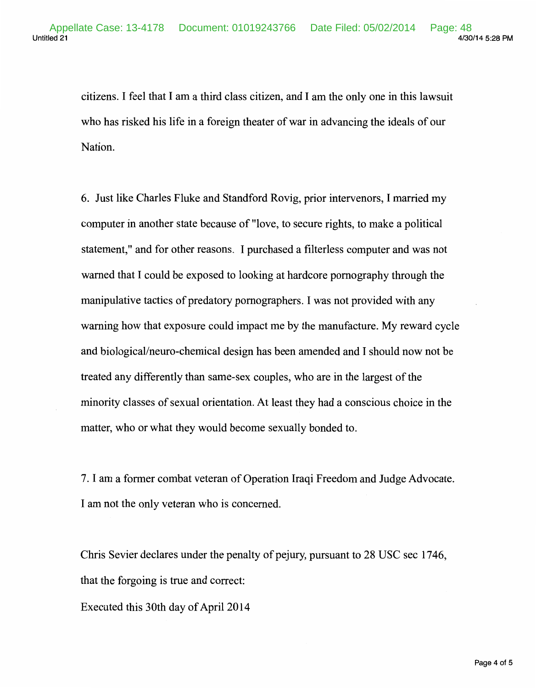citizens. I feel that I am a third class citizen, and I am the only one in this lawsuit who has risked his life in a foreign theater of war in advancing the ideals of our Nation.

6. Just like Charles Fluke and Standford Rovig, prior intervenors, I married my computer in another state because of "love, to secure rights, to make a political statement," and for other reasons. I purchased a filterless computer and was not warned that I could be exposed to looking at hardcore pornography through the manipulative tactics of predatory pornographers. I was not provided with any warning how that exposure could impact me by the manufacture. My reward cycle and biological/neuro-chemical design has been amended and I should now not be treated any differently than same-sex couples, who are in the largest of the minority classes of sexual orientation. At least they had a conscious choice in the matter, who or what they would become sexually bonded to.

7. I am a former combat veteran of Operation Iraqi Freedom and Judge Advocate. I am not the only veteran who is concerned.

Chris Sevier declares under the penalty of pejury, pursuant to 28 USC sec 1746, that the forgoing is true and correct:

Executed this 30th day of April 2014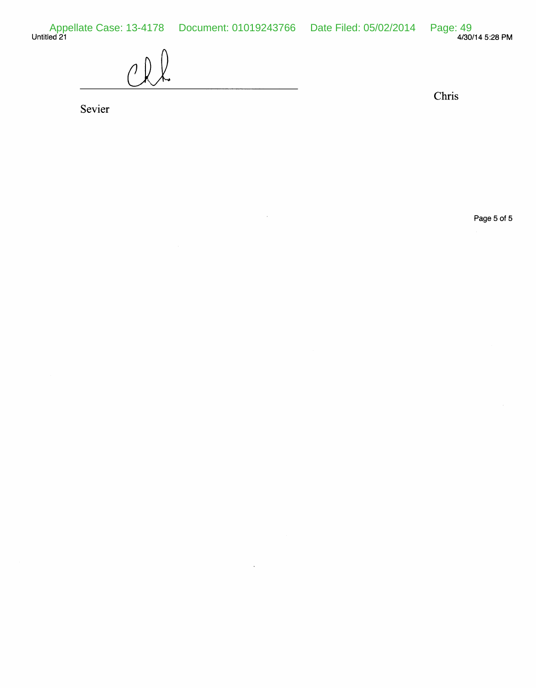Untitled 21 4/30/14 5:28PM Appellate Case: 13-4178 Document: 01019243766 Date Filed: 05/02/2014 Page: 49

 $\hat{\boldsymbol{\beta}}$ 

 $\sim$ 

 $\bigcap$ 

Sevier

Chris

Page 5 of 5